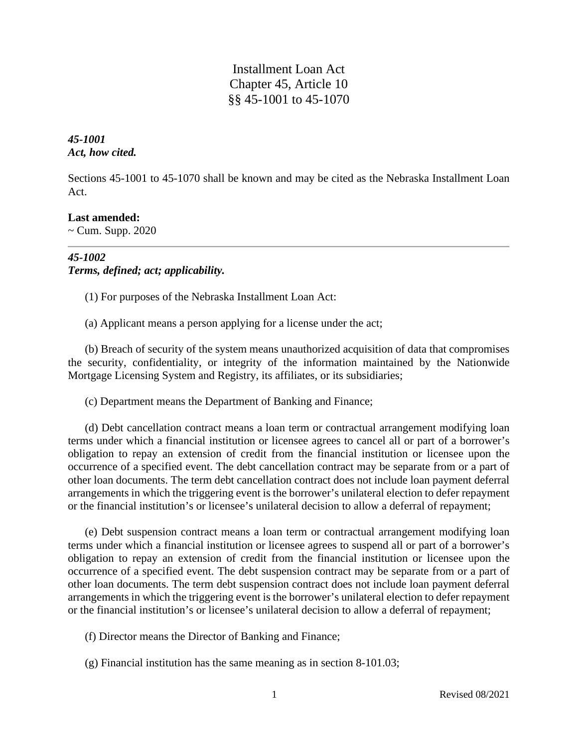Installment Loan Act Chapter 45, Article 10 §§ 45-1001 to 45-1070

*45-1001 Act, how cited.*

Sections 45-1001 to 45-1070 shall be known and may be cited as the Nebraska Installment Loan Act.

# **Last amended:**

 $\sim$  Cum. Supp. 2020

# *45-1002 Terms, defined; act; applicability.*

(1) For purposes of the Nebraska Installment Loan Act:

(a) Applicant means a person applying for a license under the act;

(b) Breach of security of the system means unauthorized acquisition of data that compromises the security, confidentiality, or integrity of the information maintained by the Nationwide Mortgage Licensing System and Registry, its affiliates, or its subsidiaries;

(c) Department means the Department of Banking and Finance;

(d) Debt cancellation contract means a loan term or contractual arrangement modifying loan terms under which a financial institution or licensee agrees to cancel all or part of a borrower's obligation to repay an extension of credit from the financial institution or licensee upon the occurrence of a specified event. The debt cancellation contract may be separate from or a part of other loan documents. The term debt cancellation contract does not include loan payment deferral arrangements in which the triggering event is the borrower's unilateral election to defer repayment or the financial institution's or licensee's unilateral decision to allow a deferral of repayment;

(e) Debt suspension contract means a loan term or contractual arrangement modifying loan terms under which a financial institution or licensee agrees to suspend all or part of a borrower's obligation to repay an extension of credit from the financial institution or licensee upon the occurrence of a specified event. The debt suspension contract may be separate from or a part of other loan documents. The term debt suspension contract does not include loan payment deferral arrangements in which the triggering event is the borrower's unilateral election to defer repayment or the financial institution's or licensee's unilateral decision to allow a deferral of repayment;

(f) Director means the Director of Banking and Finance;

(g) Financial institution has the same meaning as in section 8-101.03;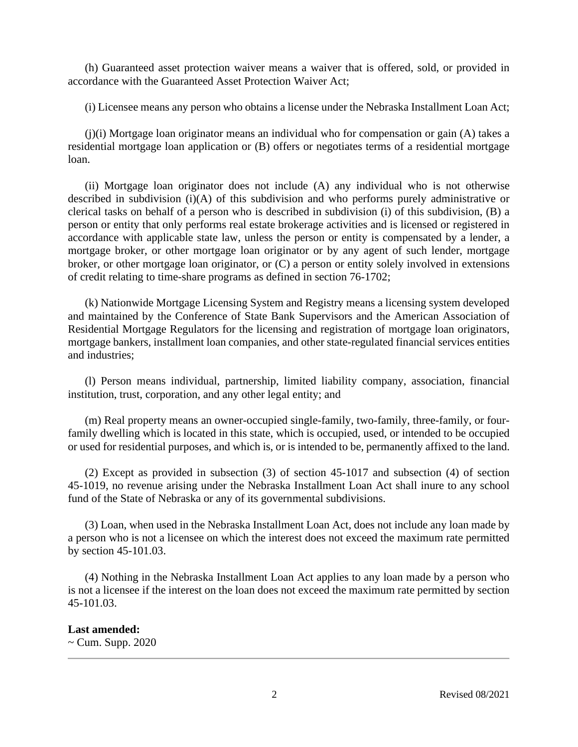(h) Guaranteed asset protection waiver means a waiver that is offered, sold, or provided in accordance with the Guaranteed Asset Protection Waiver Act;

(i) Licensee means any person who obtains a license under the Nebraska Installment Loan Act;

 $(j)(i)$  Mortgage loan originator means an individual who for compensation or gain  $(A)$  takes a residential mortgage loan application or (B) offers or negotiates terms of a residential mortgage loan.

(ii) Mortgage loan originator does not include (A) any individual who is not otherwise described in subdivision (i)(A) of this subdivision and who performs purely administrative or clerical tasks on behalf of a person who is described in subdivision (i) of this subdivision, (B) a person or entity that only performs real estate brokerage activities and is licensed or registered in accordance with applicable state law, unless the person or entity is compensated by a lender, a mortgage broker, or other mortgage loan originator or by any agent of such lender, mortgage broker, or other mortgage loan originator, or (C) a person or entity solely involved in extensions of credit relating to time-share programs as defined in section 76-1702;

(k) Nationwide Mortgage Licensing System and Registry means a licensing system developed and maintained by the Conference of State Bank Supervisors and the American Association of Residential Mortgage Regulators for the licensing and registration of mortgage loan originators, mortgage bankers, installment loan companies, and other state-regulated financial services entities and industries;

(l) Person means individual, partnership, limited liability company, association, financial institution, trust, corporation, and any other legal entity; and

(m) Real property means an owner-occupied single-family, two-family, three-family, or fourfamily dwelling which is located in this state, which is occupied, used, or intended to be occupied or used for residential purposes, and which is, or is intended to be, permanently affixed to the land.

(2) Except as provided in subsection (3) of section 45-1017 and subsection (4) of section 45-1019, no revenue arising under the Nebraska Installment Loan Act shall inure to any school fund of the State of Nebraska or any of its governmental subdivisions.

(3) Loan, when used in the Nebraska Installment Loan Act, does not include any loan made by a person who is not a licensee on which the interest does not exceed the maximum rate permitted by section 45-101.03.

(4) Nothing in the Nebraska Installment Loan Act applies to any loan made by a person who is not a licensee if the interest on the loan does not exceed the maximum rate permitted by section 45-101.03.

### **Last amended:**

 $\sim$  Cum. Supp. 2020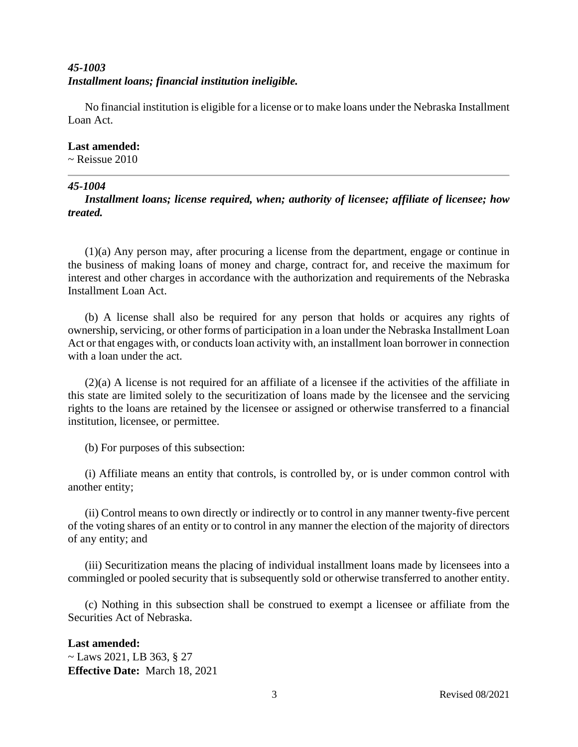# *45-1003 Installment loans; financial institution ineligible.*

No financial institution is eligible for a license or to make loans under the Nebraska Installment Loan Act.

## **Last amended:**

 $\sim$  Reissue 2010

# *45-1004*

*Installment loans; license required, when; authority of licensee; affiliate of licensee; how treated.*

(1)(a) Any person may, after procuring a license from the department, engage or continue in the business of making loans of money and charge, contract for, and receive the maximum for interest and other charges in accordance with the authorization and requirements of the Nebraska Installment Loan Act.

(b) A license shall also be required for any person that holds or acquires any rights of ownership, servicing, or other forms of participation in a loan under the Nebraska Installment Loan Act or that engages with, or conducts loan activity with, an installment loan borrower in connection with a loan under the act.

(2)(a) A license is not required for an affiliate of a licensee if the activities of the affiliate in this state are limited solely to the securitization of loans made by the licensee and the servicing rights to the loans are retained by the licensee or assigned or otherwise transferred to a financial institution, licensee, or permittee.

(b) For purposes of this subsection:

(i) Affiliate means an entity that controls, is controlled by, or is under common control with another entity;

(ii) Control means to own directly or indirectly or to control in any manner twenty-five percent of the voting shares of an entity or to control in any manner the election of the majority of directors of any entity; and

(iii) Securitization means the placing of individual installment loans made by licensees into a commingled or pooled security that is subsequently sold or otherwise transferred to another entity.

(c) Nothing in this subsection shall be construed to exempt a licensee or affiliate from the Securities Act of Nebraska.

# **Last amended:**

~ Laws 2021, LB 363, § 27 **Effective Date:** March 18, 2021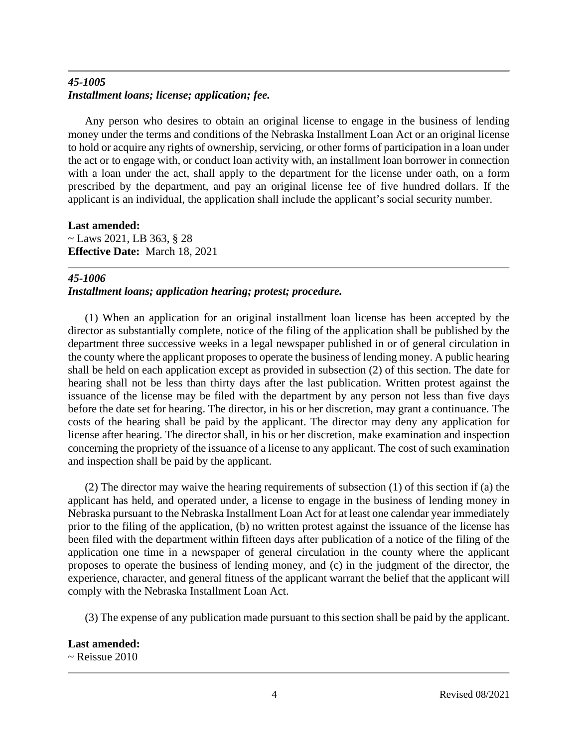# *45-1005 Installment loans; license; application; fee.*

Any person who desires to obtain an original license to engage in the business of lending money under the terms and conditions of the Nebraska Installment Loan Act or an original license to hold or acquire any rights of ownership, servicing, or other forms of participation in a loan under the act or to engage with, or conduct loan activity with, an installment loan borrower in connection with a loan under the act, shall apply to the department for the license under oath, on a form prescribed by the department, and pay an original license fee of five hundred dollars. If the applicant is an individual, the application shall include the applicant's social security number.

**Last amended:** ~ Laws 2021, LB 363, § 28 **Effective Date:** March 18, 2021

# *45-1006*

*Installment loans; application hearing; protest; procedure.*

(1) When an application for an original installment loan license has been accepted by the director as substantially complete, notice of the filing of the application shall be published by the department three successive weeks in a legal newspaper published in or of general circulation in the county where the applicant proposes to operate the business of lending money. A public hearing shall be held on each application except as provided in subsection (2) of this section. The date for hearing shall not be less than thirty days after the last publication. Written protest against the issuance of the license may be filed with the department by any person not less than five days before the date set for hearing. The director, in his or her discretion, may grant a continuance. The costs of the hearing shall be paid by the applicant. The director may deny any application for license after hearing. The director shall, in his or her discretion, make examination and inspection concerning the propriety of the issuance of a license to any applicant. The cost of such examination and inspection shall be paid by the applicant.

(2) The director may waive the hearing requirements of subsection (1) of this section if (a) the applicant has held, and operated under, a license to engage in the business of lending money in Nebraska pursuant to the Nebraska Installment Loan Act for at least one calendar year immediately prior to the filing of the application, (b) no written protest against the issuance of the license has been filed with the department within fifteen days after publication of a notice of the filing of the application one time in a newspaper of general circulation in the county where the applicant proposes to operate the business of lending money, and (c) in the judgment of the director, the experience, character, and general fitness of the applicant warrant the belief that the applicant will comply with the Nebraska Installment Loan Act.

(3) The expense of any publication made pursuant to this section shall be paid by the applicant.

**Last amended:**

 $\sim$  Reissue 2010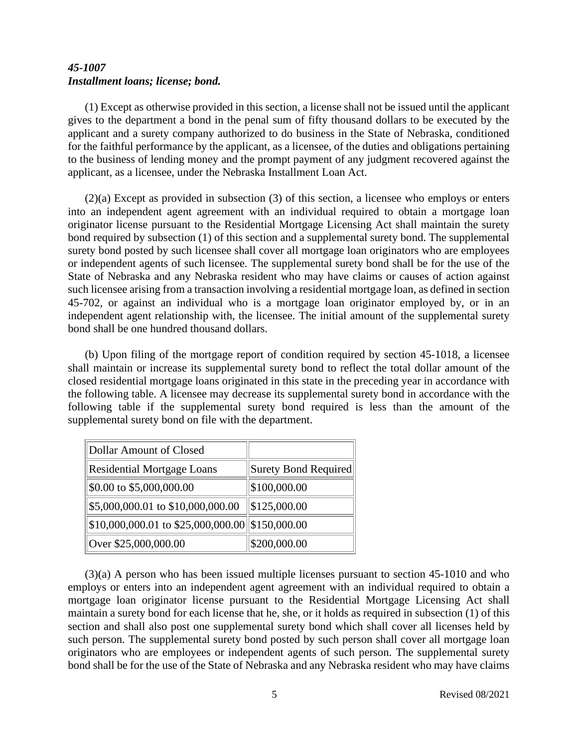# *45-1007 Installment loans; license; bond.*

(1) Except as otherwise provided in this section, a license shall not be issued until the applicant gives to the department a bond in the penal sum of fifty thousand dollars to be executed by the applicant and a surety company authorized to do business in the State of Nebraska, conditioned for the faithful performance by the applicant, as a licensee, of the duties and obligations pertaining to the business of lending money and the prompt payment of any judgment recovered against the applicant, as a licensee, under the Nebraska Installment Loan Act.

(2)(a) Except as provided in subsection (3) of this section, a licensee who employs or enters into an independent agent agreement with an individual required to obtain a mortgage loan originator license pursuant to the Residential Mortgage Licensing Act shall maintain the surety bond required by subsection (1) of this section and a supplemental surety bond. The supplemental surety bond posted by such licensee shall cover all mortgage loan originators who are employees or independent agents of such licensee. The supplemental surety bond shall be for the use of the State of Nebraska and any Nebraska resident who may have claims or causes of action against such licensee arising from a transaction involving a residential mortgage loan, as defined in section 45-702, or against an individual who is a mortgage loan originator employed by, or in an independent agent relationship with, the licensee. The initial amount of the supplemental surety bond shall be one hundred thousand dollars.

(b) Upon filing of the mortgage report of condition required by section 45-1018, a licensee shall maintain or increase its supplemental surety bond to reflect the total dollar amount of the closed residential mortgage loans originated in this state in the preceding year in accordance with the following table. A licensee may decrease its supplemental surety bond in accordance with the following table if the supplemental surety bond required is less than the amount of the supplemental surety bond on file with the department.

| Dollar Amount of Closed                                       |                      |
|---------------------------------------------------------------|----------------------|
| <b>Residential Mortgage Loans</b>                             | Surety Bond Required |
| \$0.00 to \$5,000,000.00                                      | \$100,000.00         |
| \$5,000,000.01 to \$10,000,000.00                             | \$125,000.00         |
| $\frac{1}{1}$ \$10,000,000.01 to \$25,000,000.00 \$150,000.00 |                      |
| Over \$25,000,000.00                                          | \$200,000.00         |

(3)(a) A person who has been issued multiple licenses pursuant to section 45-1010 and who employs or enters into an independent agent agreement with an individual required to obtain a mortgage loan originator license pursuant to the Residential Mortgage Licensing Act shall maintain a surety bond for each license that he, she, or it holds as required in subsection (1) of this section and shall also post one supplemental surety bond which shall cover all licenses held by such person. The supplemental surety bond posted by such person shall cover all mortgage loan originators who are employees or independent agents of such person. The supplemental surety bond shall be for the use of the State of Nebraska and any Nebraska resident who may have claims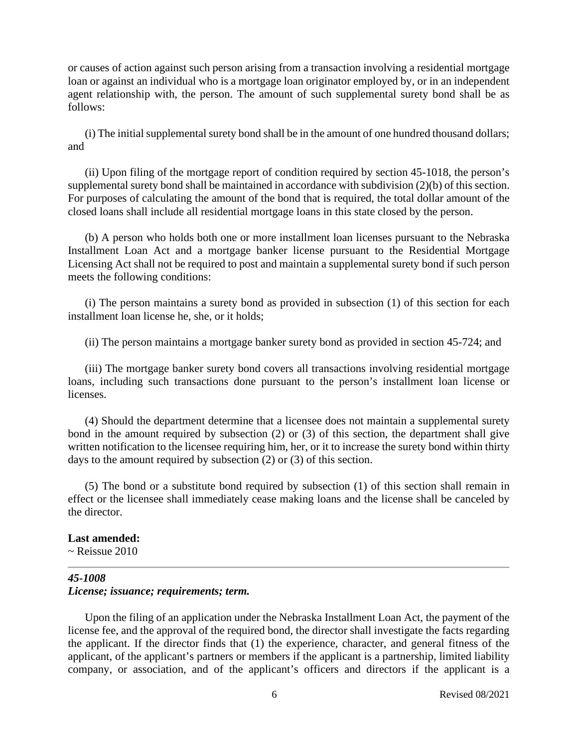or causes of action against such person arising from a transaction involving a residential mortgage loan or against an individual who is a mortgage loan originator employed by, or in an independent agent relationship with, the person. The amount of such supplemental surety bond shall be as follows:

(i) The initial supplemental surety bond shall be in the amount of one hundred thousand dollars; and

(ii) Upon filing of the mortgage report of condition required by section 45-1018, the person's supplemental surety bond shall be maintained in accordance with subdivision (2)(b) of this section. For purposes of calculating the amount of the bond that is required, the total dollar amount of the closed loans shall include all residential mortgage loans in this state closed by the person.

(b) A person who holds both one or more installment loan licenses pursuant to the Nebraska Installment Loan Act and a mortgage banker license pursuant to the Residential Mortgage Licensing Act shall not be required to post and maintain a supplemental surety bond if such person meets the following conditions:

(i) The person maintains a surety bond as provided in subsection (1) of this section for each installment loan license he, she, or it holds;

(ii) The person maintains a mortgage banker surety bond as provided in section 45-724; and

(iii) The mortgage banker surety bond covers all transactions involving residential mortgage loans, including such transactions done pursuant to the person's installment loan license or licenses.

(4) Should the department determine that a licensee does not maintain a supplemental surety bond in the amount required by subsection (2) or (3) of this section, the department shall give written notification to the licensee requiring him, her, or it to increase the surety bond within thirty days to the amount required by subsection (2) or (3) of this section.

(5) The bond or a substitute bond required by subsection (1) of this section shall remain in effect or the licensee shall immediately cease making loans and the license shall be canceled by the director.

#### **Last amended:**

 $\sim$  Reissue 2010

## *45-1008 License; issuance; requirements; term.*

Upon the filing of an application under the Nebraska Installment Loan Act, the payment of the license fee, and the approval of the required bond, the director shall investigate the facts regarding the applicant. If the director finds that (1) the experience, character, and general fitness of the applicant, of the applicant's partners or members if the applicant is a partnership, limited liability company, or association, and of the applicant's officers and directors if the applicant is a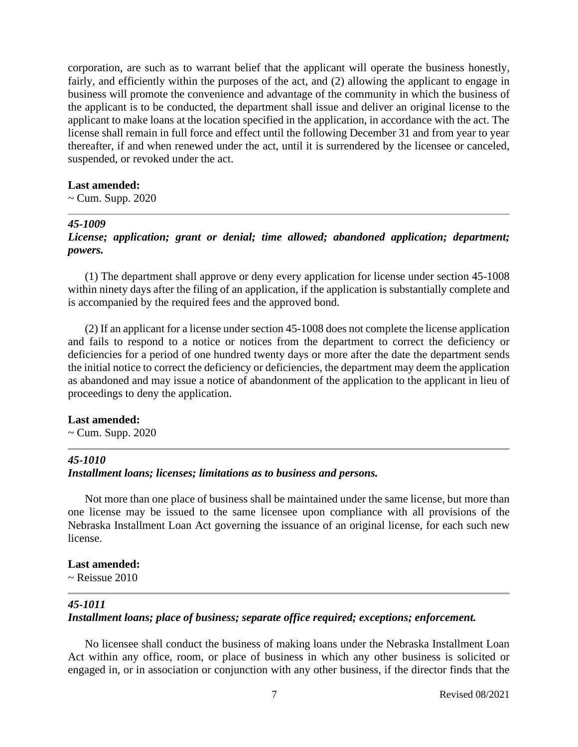corporation, are such as to warrant belief that the applicant will operate the business honestly, fairly, and efficiently within the purposes of the act, and (2) allowing the applicant to engage in business will promote the convenience and advantage of the community in which the business of the applicant is to be conducted, the department shall issue and deliver an original license to the applicant to make loans at the location specified in the application, in accordance with the act. The license shall remain in full force and effect until the following December 31 and from year to year thereafter, if and when renewed under the act, until it is surrendered by the licensee or canceled, suspended, or revoked under the act.

#### **Last amended:**

 $\sim$  Cum. Supp. 2020

### *45-1009*

*License; application; grant or denial; time allowed; abandoned application; department; powers.*

(1) The department shall approve or deny every application for license under section 45-1008 within ninety days after the filing of an application, if the application is substantially complete and is accompanied by the required fees and the approved bond.

(2) If an applicant for a license under section 45-1008 does not complete the license application and fails to respond to a notice or notices from the department to correct the deficiency or deficiencies for a period of one hundred twenty days or more after the date the department sends the initial notice to correct the deficiency or deficiencies, the department may deem the application as abandoned and may issue a notice of abandonment of the application to the applicant in lieu of proceedings to deny the application.

#### **Last amended:**

 $\sim$  Cum. Supp. 2020

### *45-1010*

## *Installment loans; licenses; limitations as to business and persons.*

Not more than one place of business shall be maintained under the same license, but more than one license may be issued to the same licensee upon compliance with all provisions of the Nebraska Installment Loan Act governing the issuance of an original license, for each such new license.

## **Last amended:**

 $\sim$  Reissue 2010

## *45-1011*

# *Installment loans; place of business; separate office required; exceptions; enforcement.*

No licensee shall conduct the business of making loans under the Nebraska Installment Loan Act within any office, room, or place of business in which any other business is solicited or engaged in, or in association or conjunction with any other business, if the director finds that the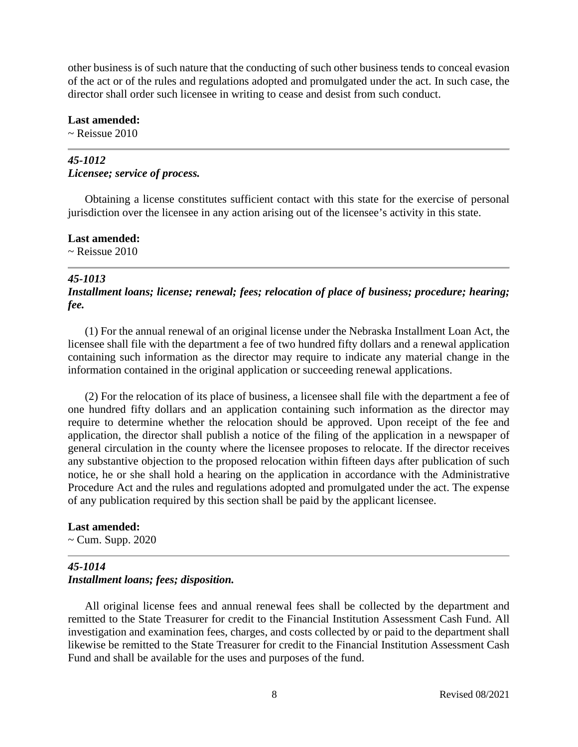other business is of such nature that the conducting of such other business tends to conceal evasion of the act or of the rules and regulations adopted and promulgated under the act. In such case, the director shall order such licensee in writing to cease and desist from such conduct.

**Last amended:**

 $\sim$  Reissue 2010

# *45-1012 Licensee; service of process.*

Obtaining a license constitutes sufficient contact with this state for the exercise of personal jurisdiction over the licensee in any action arising out of the licensee's activity in this state.

**Last amended:**  $\sim$  Reissue 2010

## *45-1013*

*Installment loans; license; renewal; fees; relocation of place of business; procedure; hearing; fee.*

(1) For the annual renewal of an original license under the Nebraska Installment Loan Act, the licensee shall file with the department a fee of two hundred fifty dollars and a renewal application containing such information as the director may require to indicate any material change in the information contained in the original application or succeeding renewal applications.

(2) For the relocation of its place of business, a licensee shall file with the department a fee of one hundred fifty dollars and an application containing such information as the director may require to determine whether the relocation should be approved. Upon receipt of the fee and application, the director shall publish a notice of the filing of the application in a newspaper of general circulation in the county where the licensee proposes to relocate. If the director receives any substantive objection to the proposed relocation within fifteen days after publication of such notice, he or she shall hold a hearing on the application in accordance with the Administrative Procedure Act and the rules and regulations adopted and promulgated under the act. The expense of any publication required by this section shall be paid by the applicant licensee.

# **Last amended:**

~ Cum. Supp. 2020

# *45-1014 Installment loans; fees; disposition.*

All original license fees and annual renewal fees shall be collected by the department and remitted to the State Treasurer for credit to the Financial Institution Assessment Cash Fund. All investigation and examination fees, charges, and costs collected by or paid to the department shall likewise be remitted to the State Treasurer for credit to the Financial Institution Assessment Cash Fund and shall be available for the uses and purposes of the fund.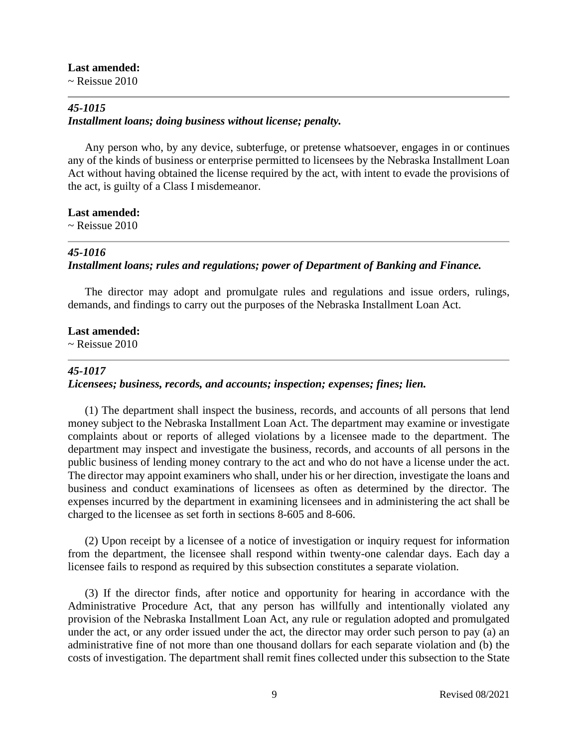# **Last amended:**

 $\sim$  Reissue 2010

# *45-1015 Installment loans; doing business without license; penalty.*

Any person who, by any device, subterfuge, or pretense whatsoever, engages in or continues any of the kinds of business or enterprise permitted to licensees by the Nebraska Installment Loan Act without having obtained the license required by the act, with intent to evade the provisions of the act, is guilty of a Class I misdemeanor.

# **Last amended:**

 $\sim$  Reissue 2010

### *45-1016*

# *Installment loans; rules and regulations; power of Department of Banking and Finance.*

The director may adopt and promulgate rules and regulations and issue orders, rulings, demands, and findings to carry out the purposes of the Nebraska Installment Loan Act.

#### **Last amended:**

 $\sim$  Reissue 2010

### *45-1017*

## *Licensees; business, records, and accounts; inspection; expenses; fines; lien.*

(1) The department shall inspect the business, records, and accounts of all persons that lend money subject to the Nebraska Installment Loan Act. The department may examine or investigate complaints about or reports of alleged violations by a licensee made to the department. The department may inspect and investigate the business, records, and accounts of all persons in the public business of lending money contrary to the act and who do not have a license under the act. The director may appoint examiners who shall, under his or her direction, investigate the loans and business and conduct examinations of licensees as often as determined by the director. The expenses incurred by the department in examining licensees and in administering the act shall be charged to the licensee as set forth in sections 8-605 and 8-606.

(2) Upon receipt by a licensee of a notice of investigation or inquiry request for information from the department, the licensee shall respond within twenty-one calendar days. Each day a licensee fails to respond as required by this subsection constitutes a separate violation.

(3) If the director finds, after notice and opportunity for hearing in accordance with the Administrative Procedure Act, that any person has willfully and intentionally violated any provision of the Nebraska Installment Loan Act, any rule or regulation adopted and promulgated under the act, or any order issued under the act, the director may order such person to pay (a) an administrative fine of not more than one thousand dollars for each separate violation and (b) the costs of investigation. The department shall remit fines collected under this subsection to the State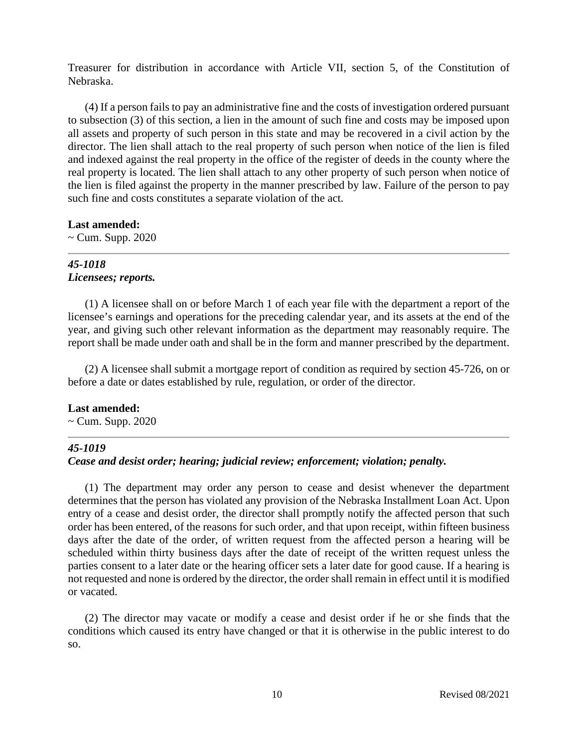Treasurer for distribution in accordance with Article VII, section 5, of the Constitution of Nebraska.

(4) If a person fails to pay an administrative fine and the costs of investigation ordered pursuant to subsection (3) of this section, a lien in the amount of such fine and costs may be imposed upon all assets and property of such person in this state and may be recovered in a civil action by the director. The lien shall attach to the real property of such person when notice of the lien is filed and indexed against the real property in the office of the register of deeds in the county where the real property is located. The lien shall attach to any other property of such person when notice of the lien is filed against the property in the manner prescribed by law. Failure of the person to pay such fine and costs constitutes a separate violation of the act.

### **Last amended:**

 $\sim$  Cum. Supp. 2020

# *45-1018 Licensees; reports.*

(1) A licensee shall on or before March 1 of each year file with the department a report of the licensee's earnings and operations for the preceding calendar year, and its assets at the end of the year, and giving such other relevant information as the department may reasonably require. The report shall be made under oath and shall be in the form and manner prescribed by the department.

(2) A licensee shall submit a mortgage report of condition as required by section 45-726, on or before a date or dates established by rule, regulation, or order of the director.

# **Last amended:**

 $\sim$  Cum. Supp. 2020

# *45-1019*

# *Cease and desist order; hearing; judicial review; enforcement; violation; penalty.*

(1) The department may order any person to cease and desist whenever the department determines that the person has violated any provision of the Nebraska Installment Loan Act. Upon entry of a cease and desist order, the director shall promptly notify the affected person that such order has been entered, of the reasons for such order, and that upon receipt, within fifteen business days after the date of the order, of written request from the affected person a hearing will be scheduled within thirty business days after the date of receipt of the written request unless the parties consent to a later date or the hearing officer sets a later date for good cause. If a hearing is not requested and none is ordered by the director, the order shall remain in effect until it is modified or vacated.

(2) The director may vacate or modify a cease and desist order if he or she finds that the conditions which caused its entry have changed or that it is otherwise in the public interest to do so.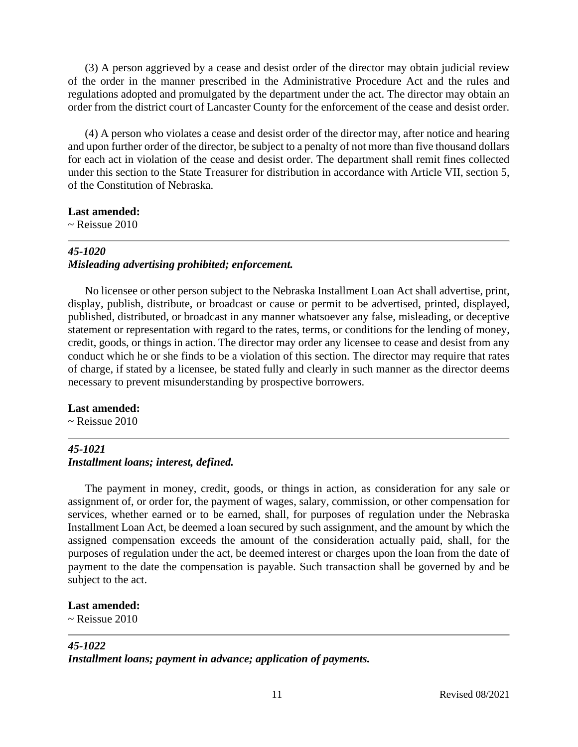(3) A person aggrieved by a cease and desist order of the director may obtain judicial review of the order in the manner prescribed in the Administrative Procedure Act and the rules and regulations adopted and promulgated by the department under the act. The director may obtain an order from the district court of Lancaster County for the enforcement of the cease and desist order.

(4) A person who violates a cease and desist order of the director may, after notice and hearing and upon further order of the director, be subject to a penalty of not more than five thousand dollars for each act in violation of the cease and desist order. The department shall remit fines collected under this section to the State Treasurer for distribution in accordance with Article VII, section 5, of the Constitution of Nebraska.

### **Last amended:**

 $\sim$  Reissue 2010

# *45-1020 Misleading advertising prohibited; enforcement.*

No licensee or other person subject to the Nebraska Installment Loan Act shall advertise, print, display, publish, distribute, or broadcast or cause or permit to be advertised, printed, displayed, published, distributed, or broadcast in any manner whatsoever any false, misleading, or deceptive statement or representation with regard to the rates, terms, or conditions for the lending of money, credit, goods, or things in action. The director may order any licensee to cease and desist from any conduct which he or she finds to be a violation of this section. The director may require that rates of charge, if stated by a licensee, be stated fully and clearly in such manner as the director deems necessary to prevent misunderstanding by prospective borrowers.

# **Last amended:**

 $\sim$  Reissue 2010

# *45-1021 Installment loans; interest, defined.*

The payment in money, credit, goods, or things in action, as consideration for any sale or assignment of, or order for, the payment of wages, salary, commission, or other compensation for services, whether earned or to be earned, shall, for purposes of regulation under the Nebraska Installment Loan Act, be deemed a loan secured by such assignment, and the amount by which the assigned compensation exceeds the amount of the consideration actually paid, shall, for the purposes of regulation under the act, be deemed interest or charges upon the loan from the date of payment to the date the compensation is payable. Such transaction shall be governed by and be subject to the act.

# **Last amended:**

 $\sim$  Reissue 2010

# *45-1022*

*Installment loans; payment in advance; application of payments.*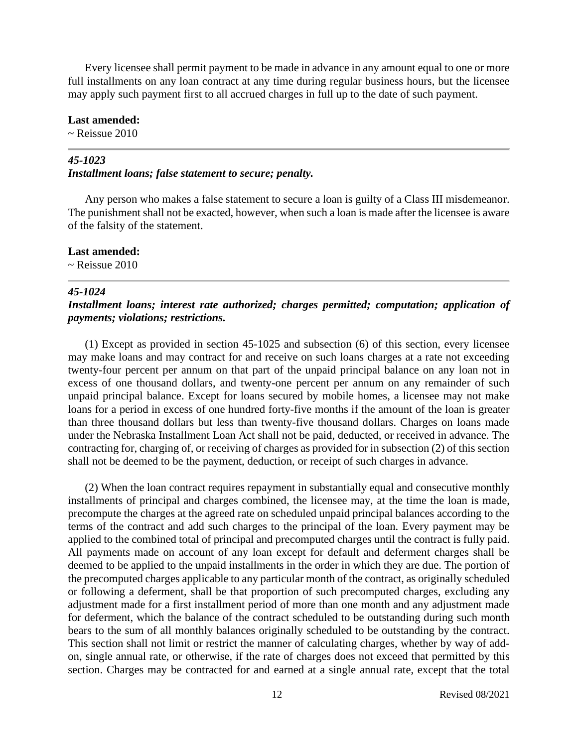Every licensee shall permit payment to be made in advance in any amount equal to one or more full installments on any loan contract at any time during regular business hours, but the licensee may apply such payment first to all accrued charges in full up to the date of such payment.

**Last amended:**

~ Reissue 2010

# *45-1023*

## *Installment loans; false statement to secure; penalty.*

Any person who makes a false statement to secure a loan is guilty of a Class III misdemeanor. The punishment shall not be exacted, however, when such a loan is made after the licensee is aware of the falsity of the statement.

### **Last amended:**

 $\sim$  Reissue 2010

## *45-1024*

# *Installment loans; interest rate authorized; charges permitted; computation; application of payments; violations; restrictions.*

(1) Except as provided in section 45-1025 and subsection (6) of this section, every licensee may make loans and may contract for and receive on such loans charges at a rate not exceeding twenty-four percent per annum on that part of the unpaid principal balance on any loan not in excess of one thousand dollars, and twenty-one percent per annum on any remainder of such unpaid principal balance. Except for loans secured by mobile homes, a licensee may not make loans for a period in excess of one hundred forty-five months if the amount of the loan is greater than three thousand dollars but less than twenty-five thousand dollars. Charges on loans made under the Nebraska Installment Loan Act shall not be paid, deducted, or received in advance. The contracting for, charging of, or receiving of charges as provided for in subsection (2) of this section shall not be deemed to be the payment, deduction, or receipt of such charges in advance.

(2) When the loan contract requires repayment in substantially equal and consecutive monthly installments of principal and charges combined, the licensee may, at the time the loan is made, precompute the charges at the agreed rate on scheduled unpaid principal balances according to the terms of the contract and add such charges to the principal of the loan. Every payment may be applied to the combined total of principal and precomputed charges until the contract is fully paid. All payments made on account of any loan except for default and deferment charges shall be deemed to be applied to the unpaid installments in the order in which they are due. The portion of the precomputed charges applicable to any particular month of the contract, as originally scheduled or following a deferment, shall be that proportion of such precomputed charges, excluding any adjustment made for a first installment period of more than one month and any adjustment made for deferment, which the balance of the contract scheduled to be outstanding during such month bears to the sum of all monthly balances originally scheduled to be outstanding by the contract. This section shall not limit or restrict the manner of calculating charges, whether by way of addon, single annual rate, or otherwise, if the rate of charges does not exceed that permitted by this section. Charges may be contracted for and earned at a single annual rate, except that the total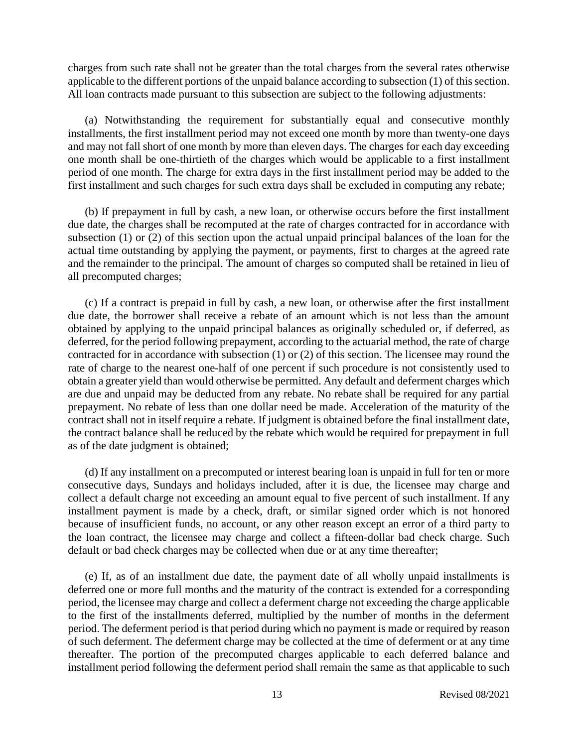charges from such rate shall not be greater than the total charges from the several rates otherwise applicable to the different portions of the unpaid balance according to subsection (1) of this section. All loan contracts made pursuant to this subsection are subject to the following adjustments:

(a) Notwithstanding the requirement for substantially equal and consecutive monthly installments, the first installment period may not exceed one month by more than twenty-one days and may not fall short of one month by more than eleven days. The charges for each day exceeding one month shall be one-thirtieth of the charges which would be applicable to a first installment period of one month. The charge for extra days in the first installment period may be added to the first installment and such charges for such extra days shall be excluded in computing any rebate;

(b) If prepayment in full by cash, a new loan, or otherwise occurs before the first installment due date, the charges shall be recomputed at the rate of charges contracted for in accordance with subsection (1) or (2) of this section upon the actual unpaid principal balances of the loan for the actual time outstanding by applying the payment, or payments, first to charges at the agreed rate and the remainder to the principal. The amount of charges so computed shall be retained in lieu of all precomputed charges;

(c) If a contract is prepaid in full by cash, a new loan, or otherwise after the first installment due date, the borrower shall receive a rebate of an amount which is not less than the amount obtained by applying to the unpaid principal balances as originally scheduled or, if deferred, as deferred, for the period following prepayment, according to the actuarial method, the rate of charge contracted for in accordance with subsection (1) or (2) of this section. The licensee may round the rate of charge to the nearest one-half of one percent if such procedure is not consistently used to obtain a greater yield than would otherwise be permitted. Any default and deferment charges which are due and unpaid may be deducted from any rebate. No rebate shall be required for any partial prepayment. No rebate of less than one dollar need be made. Acceleration of the maturity of the contract shall not in itself require a rebate. If judgment is obtained before the final installment date, the contract balance shall be reduced by the rebate which would be required for prepayment in full as of the date judgment is obtained;

(d) If any installment on a precomputed or interest bearing loan is unpaid in full for ten or more consecutive days, Sundays and holidays included, after it is due, the licensee may charge and collect a default charge not exceeding an amount equal to five percent of such installment. If any installment payment is made by a check, draft, or similar signed order which is not honored because of insufficient funds, no account, or any other reason except an error of a third party to the loan contract, the licensee may charge and collect a fifteen-dollar bad check charge. Such default or bad check charges may be collected when due or at any time thereafter;

(e) If, as of an installment due date, the payment date of all wholly unpaid installments is deferred one or more full months and the maturity of the contract is extended for a corresponding period, the licensee may charge and collect a deferment charge not exceeding the charge applicable to the first of the installments deferred, multiplied by the number of months in the deferment period. The deferment period is that period during which no payment is made or required by reason of such deferment. The deferment charge may be collected at the time of deferment or at any time thereafter. The portion of the precomputed charges applicable to each deferred balance and installment period following the deferment period shall remain the same as that applicable to such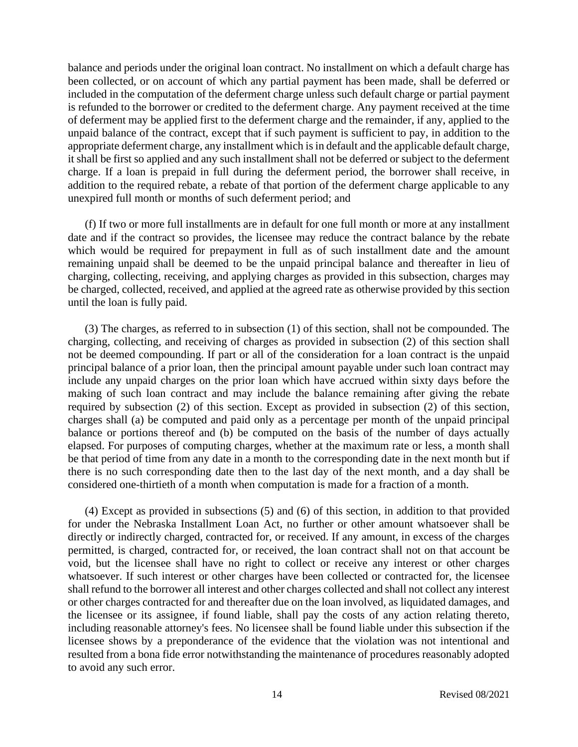balance and periods under the original loan contract. No installment on which a default charge has been collected, or on account of which any partial payment has been made, shall be deferred or included in the computation of the deferment charge unless such default charge or partial payment is refunded to the borrower or credited to the deferment charge. Any payment received at the time of deferment may be applied first to the deferment charge and the remainder, if any, applied to the unpaid balance of the contract, except that if such payment is sufficient to pay, in addition to the appropriate deferment charge, any installment which is in default and the applicable default charge, it shall be first so applied and any such installment shall not be deferred or subject to the deferment charge. If a loan is prepaid in full during the deferment period, the borrower shall receive, in addition to the required rebate, a rebate of that portion of the deferment charge applicable to any unexpired full month or months of such deferment period; and

(f) If two or more full installments are in default for one full month or more at any installment date and if the contract so provides, the licensee may reduce the contract balance by the rebate which would be required for prepayment in full as of such installment date and the amount remaining unpaid shall be deemed to be the unpaid principal balance and thereafter in lieu of charging, collecting, receiving, and applying charges as provided in this subsection, charges may be charged, collected, received, and applied at the agreed rate as otherwise provided by this section until the loan is fully paid.

(3) The charges, as referred to in subsection (1) of this section, shall not be compounded. The charging, collecting, and receiving of charges as provided in subsection (2) of this section shall not be deemed compounding. If part or all of the consideration for a loan contract is the unpaid principal balance of a prior loan, then the principal amount payable under such loan contract may include any unpaid charges on the prior loan which have accrued within sixty days before the making of such loan contract and may include the balance remaining after giving the rebate required by subsection (2) of this section. Except as provided in subsection (2) of this section, charges shall (a) be computed and paid only as a percentage per month of the unpaid principal balance or portions thereof and (b) be computed on the basis of the number of days actually elapsed. For purposes of computing charges, whether at the maximum rate or less, a month shall be that period of time from any date in a month to the corresponding date in the next month but if there is no such corresponding date then to the last day of the next month, and a day shall be considered one-thirtieth of a month when computation is made for a fraction of a month.

(4) Except as provided in subsections (5) and (6) of this section, in addition to that provided for under the Nebraska Installment Loan Act, no further or other amount whatsoever shall be directly or indirectly charged, contracted for, or received. If any amount, in excess of the charges permitted, is charged, contracted for, or received, the loan contract shall not on that account be void, but the licensee shall have no right to collect or receive any interest or other charges whatsoever. If such interest or other charges have been collected or contracted for, the licensee shall refund to the borrower all interest and other charges collected and shall not collect any interest or other charges contracted for and thereafter due on the loan involved, as liquidated damages, and the licensee or its assignee, if found liable, shall pay the costs of any action relating thereto, including reasonable attorney's fees. No licensee shall be found liable under this subsection if the licensee shows by a preponderance of the evidence that the violation was not intentional and resulted from a bona fide error notwithstanding the maintenance of procedures reasonably adopted to avoid any such error.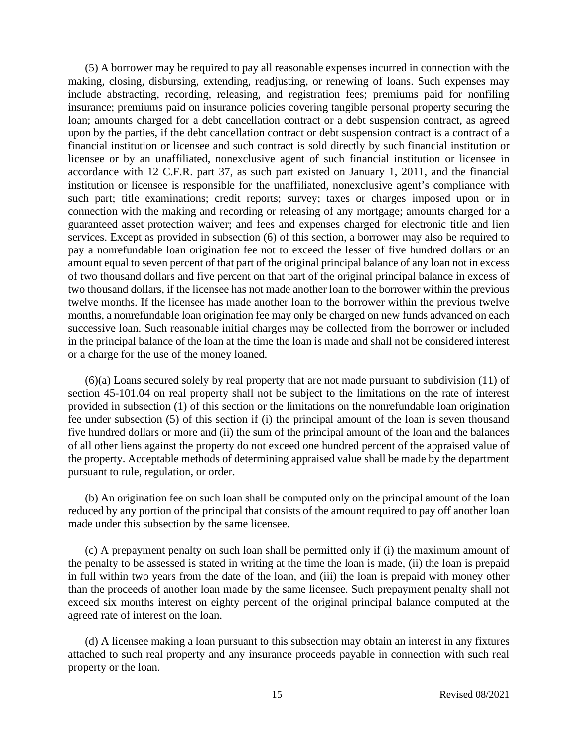(5) A borrower may be required to pay all reasonable expenses incurred in connection with the making, closing, disbursing, extending, readjusting, or renewing of loans. Such expenses may include abstracting, recording, releasing, and registration fees; premiums paid for nonfiling insurance; premiums paid on insurance policies covering tangible personal property securing the loan; amounts charged for a debt cancellation contract or a debt suspension contract, as agreed upon by the parties, if the debt cancellation contract or debt suspension contract is a contract of a financial institution or licensee and such contract is sold directly by such financial institution or licensee or by an unaffiliated, nonexclusive agent of such financial institution or licensee in accordance with 12 C.F.R. part 37, as such part existed on January 1, 2011, and the financial institution or licensee is responsible for the unaffiliated, nonexclusive agent's compliance with such part; title examinations; credit reports; survey; taxes or charges imposed upon or in connection with the making and recording or releasing of any mortgage; amounts charged for a guaranteed asset protection waiver; and fees and expenses charged for electronic title and lien services. Except as provided in subsection (6) of this section, a borrower may also be required to pay a nonrefundable loan origination fee not to exceed the lesser of five hundred dollars or an amount equal to seven percent of that part of the original principal balance of any loan not in excess of two thousand dollars and five percent on that part of the original principal balance in excess of two thousand dollars, if the licensee has not made another loan to the borrower within the previous twelve months. If the licensee has made another loan to the borrower within the previous twelve months, a nonrefundable loan origination fee may only be charged on new funds advanced on each successive loan. Such reasonable initial charges may be collected from the borrower or included in the principal balance of the loan at the time the loan is made and shall not be considered interest or a charge for the use of the money loaned.

(6)(a) Loans secured solely by real property that are not made pursuant to subdivision (11) of section 45-101.04 on real property shall not be subject to the limitations on the rate of interest provided in subsection (1) of this section or the limitations on the nonrefundable loan origination fee under subsection (5) of this section if (i) the principal amount of the loan is seven thousand five hundred dollars or more and (ii) the sum of the principal amount of the loan and the balances of all other liens against the property do not exceed one hundred percent of the appraised value of the property. Acceptable methods of determining appraised value shall be made by the department pursuant to rule, regulation, or order.

(b) An origination fee on such loan shall be computed only on the principal amount of the loan reduced by any portion of the principal that consists of the amount required to pay off another loan made under this subsection by the same licensee.

(c) A prepayment penalty on such loan shall be permitted only if (i) the maximum amount of the penalty to be assessed is stated in writing at the time the loan is made, (ii) the loan is prepaid in full within two years from the date of the loan, and (iii) the loan is prepaid with money other than the proceeds of another loan made by the same licensee. Such prepayment penalty shall not exceed six months interest on eighty percent of the original principal balance computed at the agreed rate of interest on the loan.

(d) A licensee making a loan pursuant to this subsection may obtain an interest in any fixtures attached to such real property and any insurance proceeds payable in connection with such real property or the loan.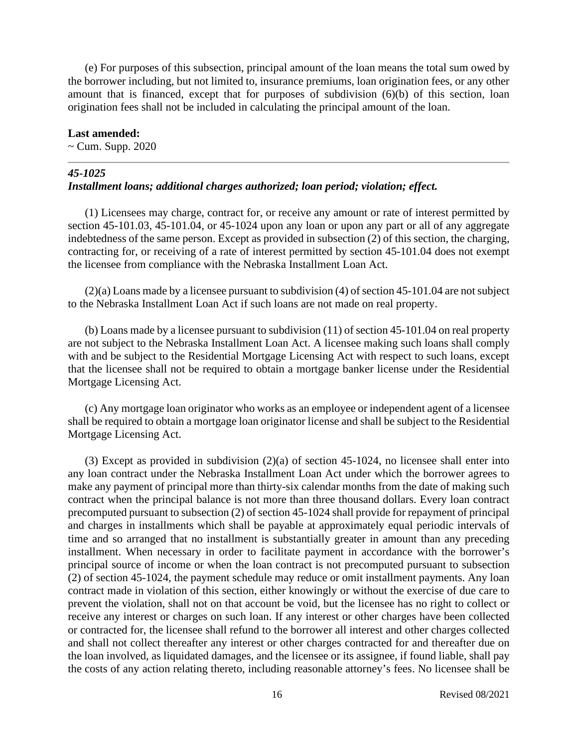(e) For purposes of this subsection, principal amount of the loan means the total sum owed by the borrower including, but not limited to, insurance premiums, loan origination fees, or any other amount that is financed, except that for purposes of subdivision (6)(b) of this section, loan origination fees shall not be included in calculating the principal amount of the loan.

#### **Last amended:**

 $\sim$  Cum. Supp. 2020

### *45-1025*

## *Installment loans; additional charges authorized; loan period; violation; effect.*

(1) Licensees may charge, contract for, or receive any amount or rate of interest permitted by section 45-101.03, 45-101.04, or 45-1024 upon any loan or upon any part or all of any aggregate indebtedness of the same person. Except as provided in subsection (2) of this section, the charging, contracting for, or receiving of a rate of interest permitted by section 45-101.04 does not exempt the licensee from compliance with the Nebraska Installment Loan Act.

(2)(a) Loans made by a licensee pursuant to subdivision (4) of section 45-101.04 are not subject to the Nebraska Installment Loan Act if such loans are not made on real property.

(b) Loans made by a licensee pursuant to subdivision (11) of section 45-101.04 on real property are not subject to the Nebraska Installment Loan Act. A licensee making such loans shall comply with and be subject to the Residential Mortgage Licensing Act with respect to such loans, except that the licensee shall not be required to obtain a mortgage banker license under the Residential Mortgage Licensing Act.

(c) Any mortgage loan originator who works as an employee or independent agent of a licensee shall be required to obtain a mortgage loan originator license and shall be subject to the Residential Mortgage Licensing Act.

(3) Except as provided in subdivision  $(2)(a)$  of section 45-1024, no licensee shall enter into any loan contract under the Nebraska Installment Loan Act under which the borrower agrees to make any payment of principal more than thirty-six calendar months from the date of making such contract when the principal balance is not more than three thousand dollars. Every loan contract precomputed pursuant to subsection (2) of section 45-1024 shall provide for repayment of principal and charges in installments which shall be payable at approximately equal periodic intervals of time and so arranged that no installment is substantially greater in amount than any preceding installment. When necessary in order to facilitate payment in accordance with the borrower's principal source of income or when the loan contract is not precomputed pursuant to subsection (2) of section 45-1024, the payment schedule may reduce or omit installment payments. Any loan contract made in violation of this section, either knowingly or without the exercise of due care to prevent the violation, shall not on that account be void, but the licensee has no right to collect or receive any interest or charges on such loan. If any interest or other charges have been collected or contracted for, the licensee shall refund to the borrower all interest and other charges collected and shall not collect thereafter any interest or other charges contracted for and thereafter due on the loan involved, as liquidated damages, and the licensee or its assignee, if found liable, shall pay the costs of any action relating thereto, including reasonable attorney's fees. No licensee shall be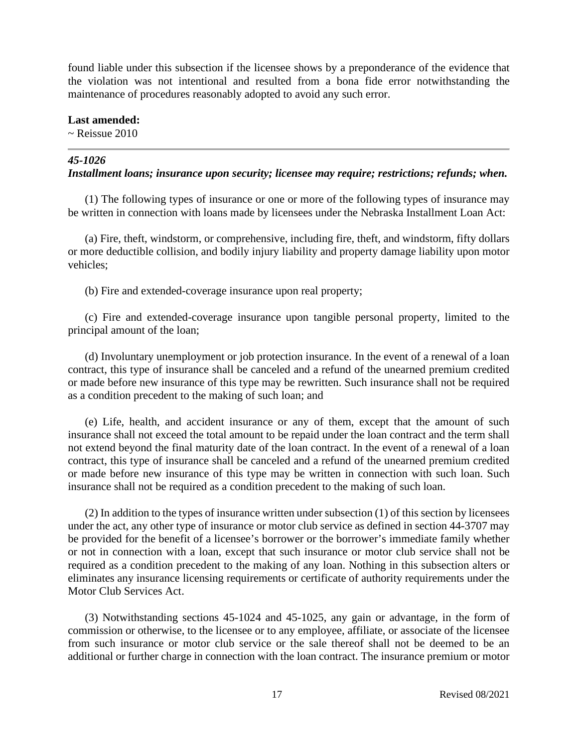found liable under this subsection if the licensee shows by a preponderance of the evidence that the violation was not intentional and resulted from a bona fide error notwithstanding the maintenance of procedures reasonably adopted to avoid any such error.

**Last amended:**  $\sim$  Reissue 2010

# *45-1026*

# *Installment loans; insurance upon security; licensee may require; restrictions; refunds; when.*

(1) The following types of insurance or one or more of the following types of insurance may be written in connection with loans made by licensees under the Nebraska Installment Loan Act:

(a) Fire, theft, windstorm, or comprehensive, including fire, theft, and windstorm, fifty dollars or more deductible collision, and bodily injury liability and property damage liability upon motor vehicles;

(b) Fire and extended-coverage insurance upon real property;

(c) Fire and extended-coverage insurance upon tangible personal property, limited to the principal amount of the loan;

(d) Involuntary unemployment or job protection insurance. In the event of a renewal of a loan contract, this type of insurance shall be canceled and a refund of the unearned premium credited or made before new insurance of this type may be rewritten. Such insurance shall not be required as a condition precedent to the making of such loan; and

(e) Life, health, and accident insurance or any of them, except that the amount of such insurance shall not exceed the total amount to be repaid under the loan contract and the term shall not extend beyond the final maturity date of the loan contract. In the event of a renewal of a loan contract, this type of insurance shall be canceled and a refund of the unearned premium credited or made before new insurance of this type may be written in connection with such loan. Such insurance shall not be required as a condition precedent to the making of such loan.

(2) In addition to the types of insurance written under subsection (1) of this section by licensees under the act, any other type of insurance or motor club service as defined in section 44-3707 may be provided for the benefit of a licensee's borrower or the borrower's immediate family whether or not in connection with a loan, except that such insurance or motor club service shall not be required as a condition precedent to the making of any loan. Nothing in this subsection alters or eliminates any insurance licensing requirements or certificate of authority requirements under the Motor Club Services Act.

(3) Notwithstanding sections 45-1024 and 45-1025, any gain or advantage, in the form of commission or otherwise, to the licensee or to any employee, affiliate, or associate of the licensee from such insurance or motor club service or the sale thereof shall not be deemed to be an additional or further charge in connection with the loan contract. The insurance premium or motor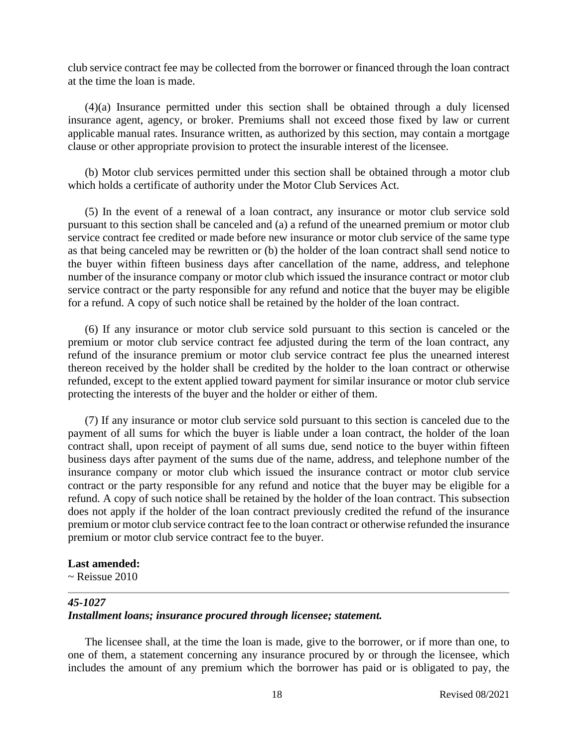club service contract fee may be collected from the borrower or financed through the loan contract at the time the loan is made.

(4)(a) Insurance permitted under this section shall be obtained through a duly licensed insurance agent, agency, or broker. Premiums shall not exceed those fixed by law or current applicable manual rates. Insurance written, as authorized by this section, may contain a mortgage clause or other appropriate provision to protect the insurable interest of the licensee.

(b) Motor club services permitted under this section shall be obtained through a motor club which holds a certificate of authority under the Motor Club Services Act.

(5) In the event of a renewal of a loan contract, any insurance or motor club service sold pursuant to this section shall be canceled and (a) a refund of the unearned premium or motor club service contract fee credited or made before new insurance or motor club service of the same type as that being canceled may be rewritten or (b) the holder of the loan contract shall send notice to the buyer within fifteen business days after cancellation of the name, address, and telephone number of the insurance company or motor club which issued the insurance contract or motor club service contract or the party responsible for any refund and notice that the buyer may be eligible for a refund. A copy of such notice shall be retained by the holder of the loan contract.

(6) If any insurance or motor club service sold pursuant to this section is canceled or the premium or motor club service contract fee adjusted during the term of the loan contract, any refund of the insurance premium or motor club service contract fee plus the unearned interest thereon received by the holder shall be credited by the holder to the loan contract or otherwise refunded, except to the extent applied toward payment for similar insurance or motor club service protecting the interests of the buyer and the holder or either of them.

(7) If any insurance or motor club service sold pursuant to this section is canceled due to the payment of all sums for which the buyer is liable under a loan contract, the holder of the loan contract shall, upon receipt of payment of all sums due, send notice to the buyer within fifteen business days after payment of the sums due of the name, address, and telephone number of the insurance company or motor club which issued the insurance contract or motor club service contract or the party responsible for any refund and notice that the buyer may be eligible for a refund. A copy of such notice shall be retained by the holder of the loan contract. This subsection does not apply if the holder of the loan contract previously credited the refund of the insurance premium or motor club service contract fee to the loan contract or otherwise refunded the insurance premium or motor club service contract fee to the buyer.

#### **Last amended:**

 $\sim$  Reissue 2010

#### *45-1027*

## *Installment loans; insurance procured through licensee; statement.*

The licensee shall, at the time the loan is made, give to the borrower, or if more than one, to one of them, a statement concerning any insurance procured by or through the licensee, which includes the amount of any premium which the borrower has paid or is obligated to pay, the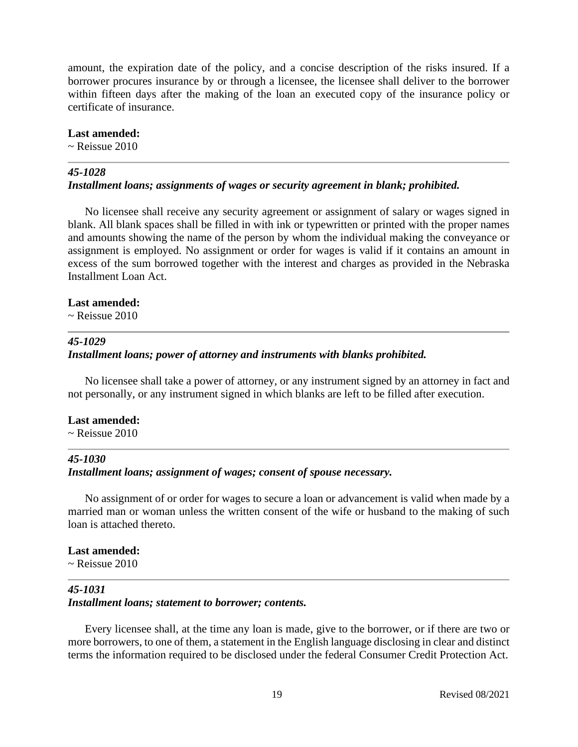amount, the expiration date of the policy, and a concise description of the risks insured. If a borrower procures insurance by or through a licensee, the licensee shall deliver to the borrower within fifteen days after the making of the loan an executed copy of the insurance policy or certificate of insurance.

#### **Last amended:**

~ Reissue 2010

### *45-1028*

### *Installment loans; assignments of wages or security agreement in blank; prohibited.*

No licensee shall receive any security agreement or assignment of salary or wages signed in blank. All blank spaces shall be filled in with ink or typewritten or printed with the proper names and amounts showing the name of the person by whom the individual making the conveyance or assignment is employed. No assignment or order for wages is valid if it contains an amount in excess of the sum borrowed together with the interest and charges as provided in the Nebraska Installment Loan Act.

#### **Last amended:**

~ Reissue 2010

## *45-1029*

# *Installment loans; power of attorney and instruments with blanks prohibited.*

No licensee shall take a power of attorney, or any instrument signed by an attorney in fact and not personally, or any instrument signed in which blanks are left to be filled after execution.

#### **Last amended:**

 $\sim$  Reissue 2010

#### *45-1030*

# *Installment loans; assignment of wages; consent of spouse necessary.*

No assignment of or order for wages to secure a loan or advancement is valid when made by a married man or woman unless the written consent of the wife or husband to the making of such loan is attached thereto.

### **Last amended:**

 $\sim$  Reissue 2010

# *45-1031*

### *Installment loans; statement to borrower; contents.*

Every licensee shall, at the time any loan is made, give to the borrower, or if there are two or more borrowers, to one of them, a statement in the English language disclosing in clear and distinct terms the information required to be disclosed under the federal Consumer Credit Protection Act.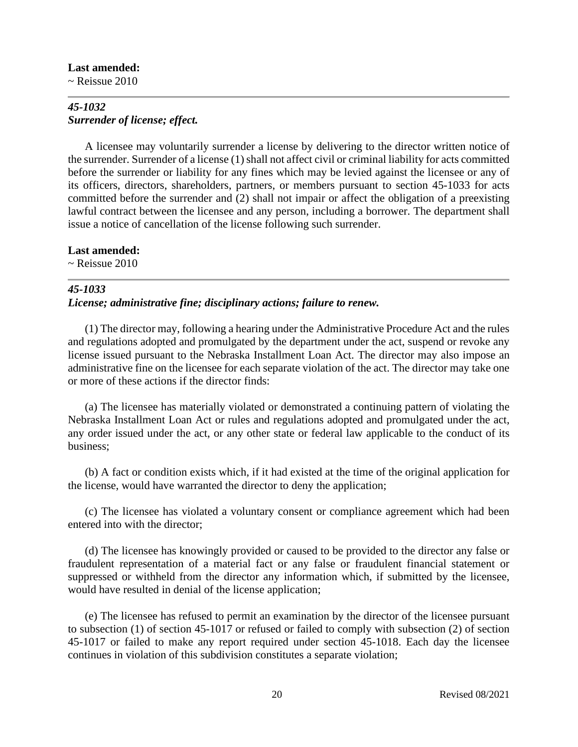#### **Last amended:**

 $\sim$  Reissue 2010

# *45-1032 Surrender of license; effect.*

A licensee may voluntarily surrender a license by delivering to the director written notice of the surrender. Surrender of a license (1) shall not affect civil or criminal liability for acts committed before the surrender or liability for any fines which may be levied against the licensee or any of its officers, directors, shareholders, partners, or members pursuant to section 45-1033 for acts committed before the surrender and (2) shall not impair or affect the obligation of a preexisting lawful contract between the licensee and any person, including a borrower. The department shall issue a notice of cancellation of the license following such surrender.

### **Last amended:**

 $\sim$  Reissue 2010

# *45-1033*

## *License; administrative fine; disciplinary actions; failure to renew.*

(1) The director may, following a hearing under the Administrative Procedure Act and the rules and regulations adopted and promulgated by the department under the act, suspend or revoke any license issued pursuant to the Nebraska Installment Loan Act. The director may also impose an administrative fine on the licensee for each separate violation of the act. The director may take one or more of these actions if the director finds:

(a) The licensee has materially violated or demonstrated a continuing pattern of violating the Nebraska Installment Loan Act or rules and regulations adopted and promulgated under the act, any order issued under the act, or any other state or federal law applicable to the conduct of its business;

(b) A fact or condition exists which, if it had existed at the time of the original application for the license, would have warranted the director to deny the application;

(c) The licensee has violated a voluntary consent or compliance agreement which had been entered into with the director;

(d) The licensee has knowingly provided or caused to be provided to the director any false or fraudulent representation of a material fact or any false or fraudulent financial statement or suppressed or withheld from the director any information which, if submitted by the licensee, would have resulted in denial of the license application;

(e) The licensee has refused to permit an examination by the director of the licensee pursuant to subsection (1) of section 45-1017 or refused or failed to comply with subsection (2) of section 45-1017 or failed to make any report required under section 45-1018. Each day the licensee continues in violation of this subdivision constitutes a separate violation;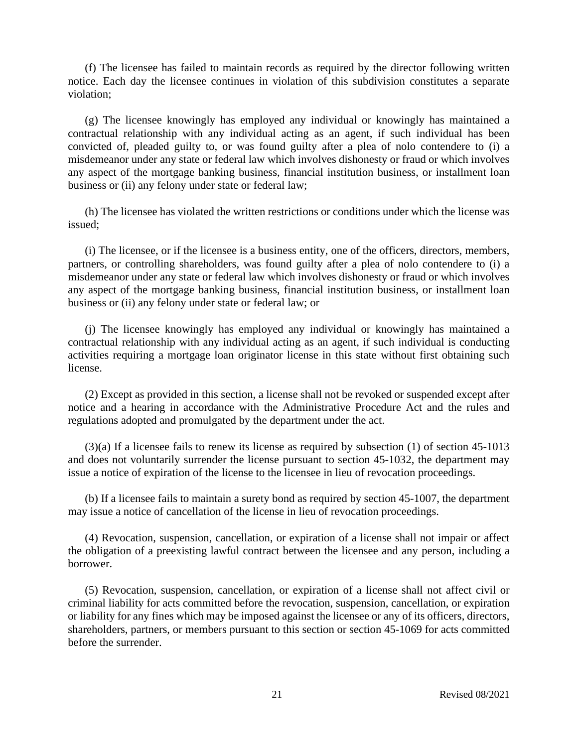(f) The licensee has failed to maintain records as required by the director following written notice. Each day the licensee continues in violation of this subdivision constitutes a separate violation;

(g) The licensee knowingly has employed any individual or knowingly has maintained a contractual relationship with any individual acting as an agent, if such individual has been convicted of, pleaded guilty to, or was found guilty after a plea of nolo contendere to (i) a misdemeanor under any state or federal law which involves dishonesty or fraud or which involves any aspect of the mortgage banking business, financial institution business, or installment loan business or (ii) any felony under state or federal law;

(h) The licensee has violated the written restrictions or conditions under which the license was issued;

(i) The licensee, or if the licensee is a business entity, one of the officers, directors, members, partners, or controlling shareholders, was found guilty after a plea of nolo contendere to (i) a misdemeanor under any state or federal law which involves dishonesty or fraud or which involves any aspect of the mortgage banking business, financial institution business, or installment loan business or (ii) any felony under state or federal law; or

(j) The licensee knowingly has employed any individual or knowingly has maintained a contractual relationship with any individual acting as an agent, if such individual is conducting activities requiring a mortgage loan originator license in this state without first obtaining such license.

(2) Except as provided in this section, a license shall not be revoked or suspended except after notice and a hearing in accordance with the Administrative Procedure Act and the rules and regulations adopted and promulgated by the department under the act.

(3)(a) If a licensee fails to renew its license as required by subsection (1) of section 45-1013 and does not voluntarily surrender the license pursuant to section 45-1032, the department may issue a notice of expiration of the license to the licensee in lieu of revocation proceedings.

(b) If a licensee fails to maintain a surety bond as required by section 45-1007, the department may issue a notice of cancellation of the license in lieu of revocation proceedings.

(4) Revocation, suspension, cancellation, or expiration of a license shall not impair or affect the obligation of a preexisting lawful contract between the licensee and any person, including a borrower.

(5) Revocation, suspension, cancellation, or expiration of a license shall not affect civil or criminal liability for acts committed before the revocation, suspension, cancellation, or expiration or liability for any fines which may be imposed against the licensee or any of its officers, directors, shareholders, partners, or members pursuant to this section or section 45-1069 for acts committed before the surrender.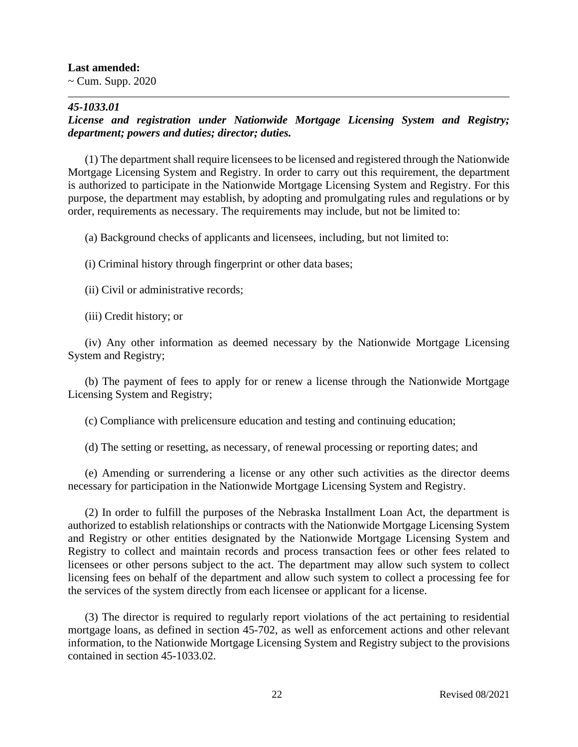#### **Last amended:**

 $\sim$  Cum. Supp. 2020

# *45-1033.01*

# *License and registration under Nationwide Mortgage Licensing System and Registry; department; powers and duties; director; duties.*

(1) The department shall require licensees to be licensed and registered through the Nationwide Mortgage Licensing System and Registry. In order to carry out this requirement, the department is authorized to participate in the Nationwide Mortgage Licensing System and Registry. For this purpose, the department may establish, by adopting and promulgating rules and regulations or by order, requirements as necessary. The requirements may include, but not be limited to:

(a) Background checks of applicants and licensees, including, but not limited to:

(i) Criminal history through fingerprint or other data bases;

(ii) Civil or administrative records;

(iii) Credit history; or

(iv) Any other information as deemed necessary by the Nationwide Mortgage Licensing System and Registry;

(b) The payment of fees to apply for or renew a license through the Nationwide Mortgage Licensing System and Registry;

(c) Compliance with prelicensure education and testing and continuing education;

(d) The setting or resetting, as necessary, of renewal processing or reporting dates; and

(e) Amending or surrendering a license or any other such activities as the director deems necessary for participation in the Nationwide Mortgage Licensing System and Registry.

(2) In order to fulfill the purposes of the Nebraska Installment Loan Act, the department is authorized to establish relationships or contracts with the Nationwide Mortgage Licensing System and Registry or other entities designated by the Nationwide Mortgage Licensing System and Registry to collect and maintain records and process transaction fees or other fees related to licensees or other persons subject to the act. The department may allow such system to collect licensing fees on behalf of the department and allow such system to collect a processing fee for the services of the system directly from each licensee or applicant for a license.

(3) The director is required to regularly report violations of the act pertaining to residential mortgage loans, as defined in section 45-702, as well as enforcement actions and other relevant information, to the Nationwide Mortgage Licensing System and Registry subject to the provisions contained in section 45-1033.02.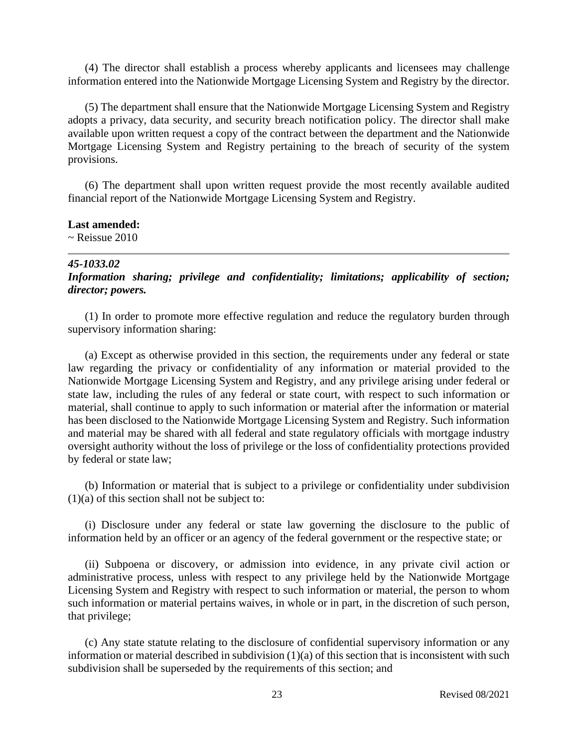(4) The director shall establish a process whereby applicants and licensees may challenge information entered into the Nationwide Mortgage Licensing System and Registry by the director.

(5) The department shall ensure that the Nationwide Mortgage Licensing System and Registry adopts a privacy, data security, and security breach notification policy. The director shall make available upon written request a copy of the contract between the department and the Nationwide Mortgage Licensing System and Registry pertaining to the breach of security of the system provisions.

(6) The department shall upon written request provide the most recently available audited financial report of the Nationwide Mortgage Licensing System and Registry.

### **Last amended:**

 $\sim$  Reissue 2010

### *45-1033.02*

*Information sharing; privilege and confidentiality; limitations; applicability of section; director; powers.*

(1) In order to promote more effective regulation and reduce the regulatory burden through supervisory information sharing:

(a) Except as otherwise provided in this section, the requirements under any federal or state law regarding the privacy or confidentiality of any information or material provided to the Nationwide Mortgage Licensing System and Registry, and any privilege arising under federal or state law, including the rules of any federal or state court, with respect to such information or material, shall continue to apply to such information or material after the information or material has been disclosed to the Nationwide Mortgage Licensing System and Registry. Such information and material may be shared with all federal and state regulatory officials with mortgage industry oversight authority without the loss of privilege or the loss of confidentiality protections provided by federal or state law;

(b) Information or material that is subject to a privilege or confidentiality under subdivision  $(1)(a)$  of this section shall not be subject to:

(i) Disclosure under any federal or state law governing the disclosure to the public of information held by an officer or an agency of the federal government or the respective state; or

(ii) Subpoena or discovery, or admission into evidence, in any private civil action or administrative process, unless with respect to any privilege held by the Nationwide Mortgage Licensing System and Registry with respect to such information or material, the person to whom such information or material pertains waives, in whole or in part, in the discretion of such person, that privilege;

(c) Any state statute relating to the disclosure of confidential supervisory information or any information or material described in subdivision (1)(a) of this section that is inconsistent with such subdivision shall be superseded by the requirements of this section; and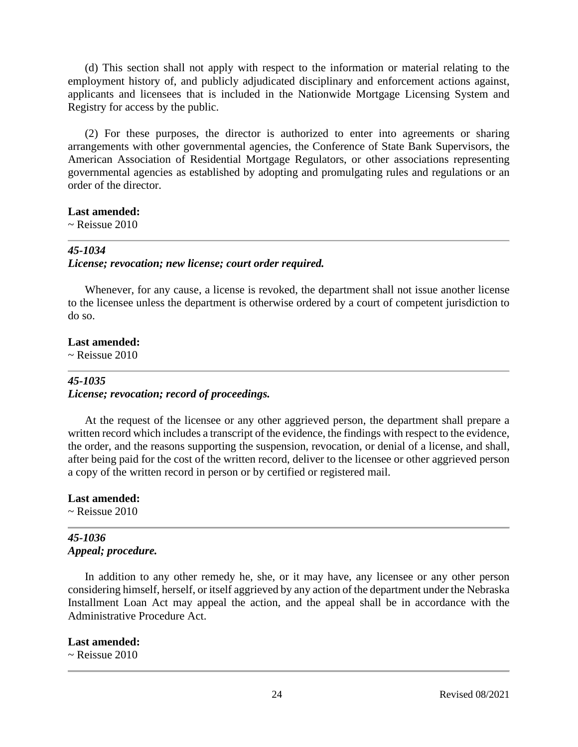(d) This section shall not apply with respect to the information or material relating to the employment history of, and publicly adjudicated disciplinary and enforcement actions against, applicants and licensees that is included in the Nationwide Mortgage Licensing System and Registry for access by the public.

(2) For these purposes, the director is authorized to enter into agreements or sharing arrangements with other governmental agencies, the Conference of State Bank Supervisors, the American Association of Residential Mortgage Regulators, or other associations representing governmental agencies as established by adopting and promulgating rules and regulations or an order of the director.

#### **Last amended:**

 $\sim$  Reissue 2010

### *45-1034*

### *License; revocation; new license; court order required.*

Whenever, for any cause, a license is revoked, the department shall not issue another license to the licensee unless the department is otherwise ordered by a court of competent jurisdiction to do so.

# **Last amended:**

 $\sim$  Reissue 2010

# *45-1035 License; revocation; record of proceedings.*

At the request of the licensee or any other aggrieved person, the department shall prepare a written record which includes a transcript of the evidence, the findings with respect to the evidence, the order, and the reasons supporting the suspension, revocation, or denial of a license, and shall, after being paid for the cost of the written record, deliver to the licensee or other aggrieved person a copy of the written record in person or by certified or registered mail.

### **Last amended:**

 $\sim$  Reissue 2010

# *45-1036 Appeal; procedure.*

In addition to any other remedy he, she, or it may have, any licensee or any other person considering himself, herself, or itself aggrieved by any action of the department under the Nebraska Installment Loan Act may appeal the action, and the appeal shall be in accordance with the Administrative Procedure Act.

### **Last amended:**

 $\sim$  Reissue 2010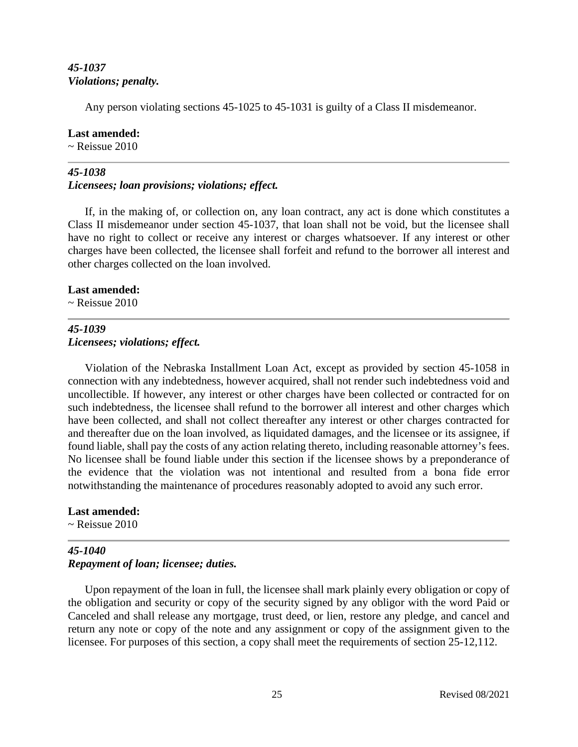# *45-1037 Violations; penalty.*

Any person violating sections 45-1025 to 45-1031 is guilty of a Class II misdemeanor.

# **Last amended:**

 $\sim$  Reissue 2010

# *45-1038*

# *Licensees; loan provisions; violations; effect.*

If, in the making of, or collection on, any loan contract, any act is done which constitutes a Class II misdemeanor under section 45-1037, that loan shall not be void, but the licensee shall have no right to collect or receive any interest or charges whatsoever. If any interest or other charges have been collected, the licensee shall forfeit and refund to the borrower all interest and other charges collected on the loan involved.

## **Last amended:**

 $\sim$  Reissue 2010

# *45-1039 Licensees; violations; effect.*

Violation of the Nebraska Installment Loan Act, except as provided by section 45-1058 in connection with any indebtedness, however acquired, shall not render such indebtedness void and uncollectible. If however, any interest or other charges have been collected or contracted for on such indebtedness, the licensee shall refund to the borrower all interest and other charges which have been collected, and shall not collect thereafter any interest or other charges contracted for and thereafter due on the loan involved, as liquidated damages, and the licensee or its assignee, if found liable, shall pay the costs of any action relating thereto, including reasonable attorney's fees. No licensee shall be found liable under this section if the licensee shows by a preponderance of the evidence that the violation was not intentional and resulted from a bona fide error notwithstanding the maintenance of procedures reasonably adopted to avoid any such error.

# **Last amended:**

 $\sim$  Reissue 2010

# *45-1040 Repayment of loan; licensee; duties.*

Upon repayment of the loan in full, the licensee shall mark plainly every obligation or copy of the obligation and security or copy of the security signed by any obligor with the word Paid or Canceled and shall release any mortgage, trust deed, or lien, restore any pledge, and cancel and return any note or copy of the note and any assignment or copy of the assignment given to the licensee. For purposes of this section, a copy shall meet the requirements of section 25-12,112.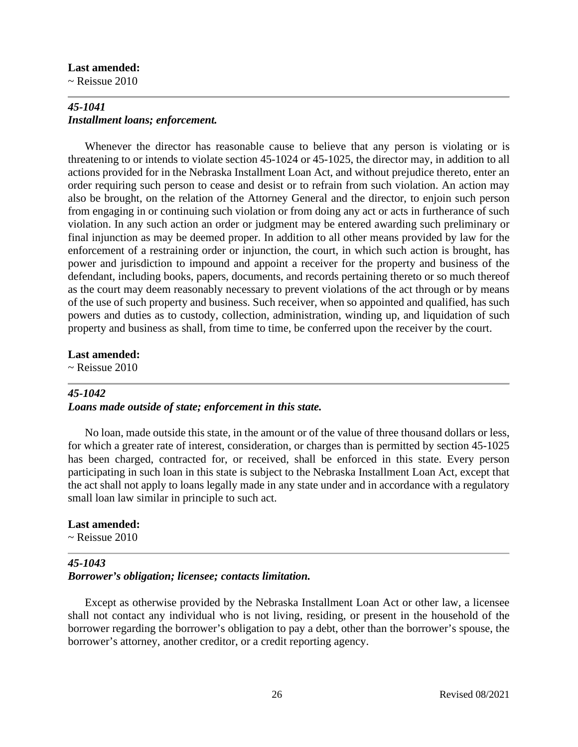#### **Last amended:**

 $\sim$  Reissue 2010

# *45-1041 Installment loans; enforcement.*

Whenever the director has reasonable cause to believe that any person is violating or is threatening to or intends to violate section 45-1024 or 45-1025, the director may, in addition to all actions provided for in the Nebraska Installment Loan Act, and without prejudice thereto, enter an order requiring such person to cease and desist or to refrain from such violation. An action may also be brought, on the relation of the Attorney General and the director, to enjoin such person from engaging in or continuing such violation or from doing any act or acts in furtherance of such violation. In any such action an order or judgment may be entered awarding such preliminary or final injunction as may be deemed proper. In addition to all other means provided by law for the enforcement of a restraining order or injunction, the court, in which such action is brought, has power and jurisdiction to impound and appoint a receiver for the property and business of the defendant, including books, papers, documents, and records pertaining thereto or so much thereof as the court may deem reasonably necessary to prevent violations of the act through or by means of the use of such property and business. Such receiver, when so appointed and qualified, has such powers and duties as to custody, collection, administration, winding up, and liquidation of such property and business as shall, from time to time, be conferred upon the receiver by the court.

### **Last amended:**

 $\sim$  Reissue 2010

### *45-1042*

## *Loans made outside of state; enforcement in this state.*

No loan, made outside this state, in the amount or of the value of three thousand dollars or less, for which a greater rate of interest, consideration, or charges than is permitted by section 45-1025 has been charged, contracted for, or received, shall be enforced in this state. Every person participating in such loan in this state is subject to the Nebraska Installment Loan Act, except that the act shall not apply to loans legally made in any state under and in accordance with a regulatory small loan law similar in principle to such act.

### **Last amended:**

~ Reissue 2010

# *45-1043 Borrower's obligation; licensee; contacts limitation.*

Except as otherwise provided by the Nebraska Installment Loan Act or other law, a licensee shall not contact any individual who is not living, residing, or present in the household of the borrower regarding the borrower's obligation to pay a debt, other than the borrower's spouse, the borrower's attorney, another creditor, or a credit reporting agency.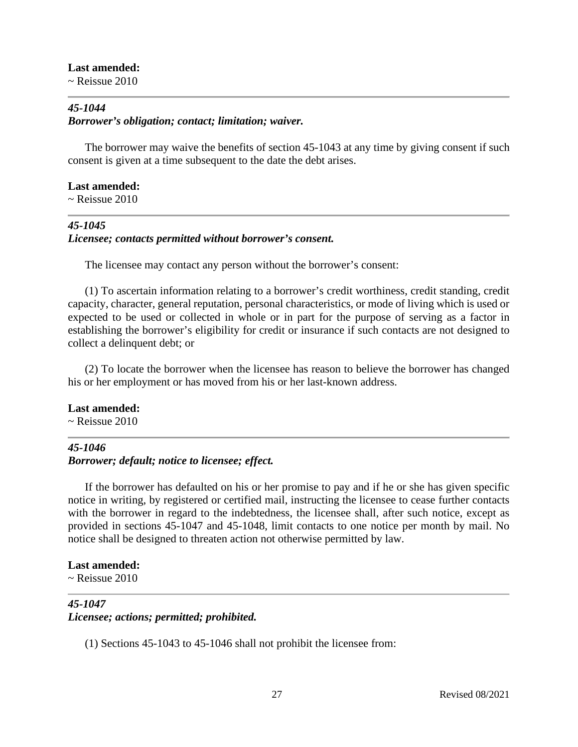**Last amended:**

 $\sim$  Reissue 2010

# *45-1044 Borrower's obligation; contact; limitation; waiver.*

The borrower may waive the benefits of section 45-1043 at any time by giving consent if such consent is given at a time subsequent to the date the debt arises.

**Last amended:**  $\sim$  Reissue 2010

# *45-1045 Licensee; contacts permitted without borrower's consent.*

The licensee may contact any person without the borrower's consent:

(1) To ascertain information relating to a borrower's credit worthiness, credit standing, credit capacity, character, general reputation, personal characteristics, or mode of living which is used or expected to be used or collected in whole or in part for the purpose of serving as a factor in establishing the borrower's eligibility for credit or insurance if such contacts are not designed to collect a delinquent debt; or

(2) To locate the borrower when the licensee has reason to believe the borrower has changed his or her employment or has moved from his or her last-known address.

# **Last amended:**

 $\sim$  Reissue 2010

# *45-1046*

# *Borrower; default; notice to licensee; effect.*

If the borrower has defaulted on his or her promise to pay and if he or she has given specific notice in writing, by registered or certified mail, instructing the licensee to cease further contacts with the borrower in regard to the indebtedness, the licensee shall, after such notice, except as provided in sections 45-1047 and 45-1048, limit contacts to one notice per month by mail. No notice shall be designed to threaten action not otherwise permitted by law.

# **Last amended:**

 $\sim$  Reissue 2010

# *45-1047*

# *Licensee; actions; permitted; prohibited.*

(1) Sections 45-1043 to 45-1046 shall not prohibit the licensee from: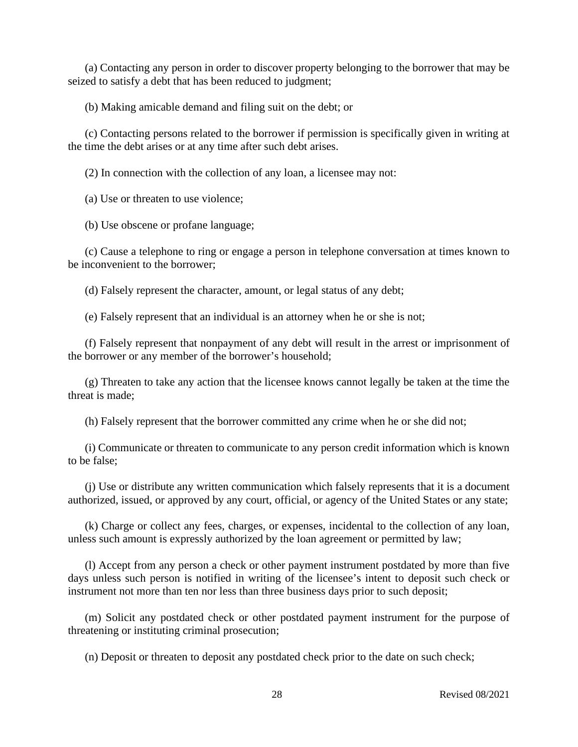(a) Contacting any person in order to discover property belonging to the borrower that may be seized to satisfy a debt that has been reduced to judgment;

(b) Making amicable demand and filing suit on the debt; or

(c) Contacting persons related to the borrower if permission is specifically given in writing at the time the debt arises or at any time after such debt arises.

(2) In connection with the collection of any loan, a licensee may not:

(a) Use or threaten to use violence;

(b) Use obscene or profane language;

(c) Cause a telephone to ring or engage a person in telephone conversation at times known to be inconvenient to the borrower;

(d) Falsely represent the character, amount, or legal status of any debt;

(e) Falsely represent that an individual is an attorney when he or she is not;

(f) Falsely represent that nonpayment of any debt will result in the arrest or imprisonment of the borrower or any member of the borrower's household;

(g) Threaten to take any action that the licensee knows cannot legally be taken at the time the threat is made;

(h) Falsely represent that the borrower committed any crime when he or she did not;

(i) Communicate or threaten to communicate to any person credit information which is known to be false;

(j) Use or distribute any written communication which falsely represents that it is a document authorized, issued, or approved by any court, official, or agency of the United States or any state;

(k) Charge or collect any fees, charges, or expenses, incidental to the collection of any loan, unless such amount is expressly authorized by the loan agreement or permitted by law;

(l) Accept from any person a check or other payment instrument postdated by more than five days unless such person is notified in writing of the licensee's intent to deposit such check or instrument not more than ten nor less than three business days prior to such deposit;

(m) Solicit any postdated check or other postdated payment instrument for the purpose of threatening or instituting criminal prosecution;

(n) Deposit or threaten to deposit any postdated check prior to the date on such check;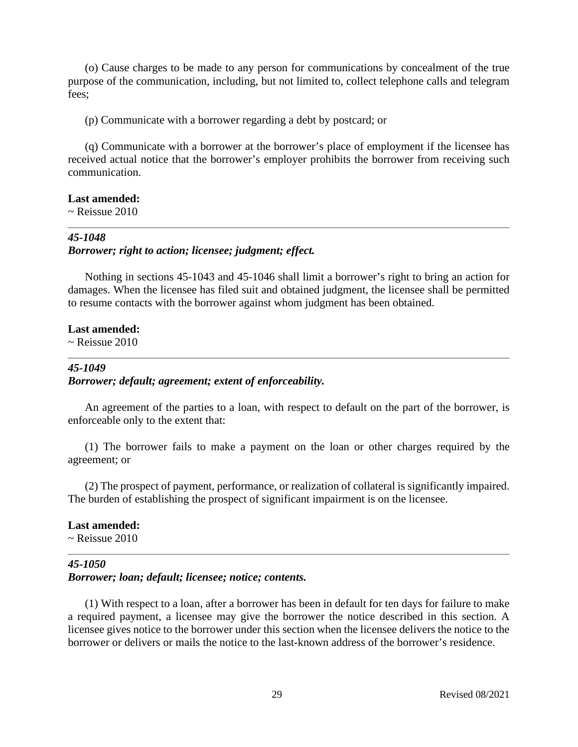(o) Cause charges to be made to any person for communications by concealment of the true purpose of the communication, including, but not limited to, collect telephone calls and telegram fees;

(p) Communicate with a borrower regarding a debt by postcard; or

(q) Communicate with a borrower at the borrower's place of employment if the licensee has received actual notice that the borrower's employer prohibits the borrower from receiving such communication.

### **Last amended:**

 $\sim$  Reissue 2010

#### *45-1048*

#### *Borrower; right to action; licensee; judgment; effect.*

Nothing in sections 45-1043 and 45-1046 shall limit a borrower's right to bring an action for damages. When the licensee has filed suit and obtained judgment, the licensee shall be permitted to resume contacts with the borrower against whom judgment has been obtained.

#### **Last amended:**

 $\sim$  Reissue 2010

# *45-1049 Borrower; default; agreement; extent of enforceability.*

An agreement of the parties to a loan, with respect to default on the part of the borrower, is enforceable only to the extent that:

(1) The borrower fails to make a payment on the loan or other charges required by the agreement; or

(2) The prospect of payment, performance, or realization of collateral is significantly impaired. The burden of establishing the prospect of significant impairment is on the licensee.

#### **Last amended:**

 $\sim$  Reissue 2010

# *45-1050*

*Borrower; loan; default; licensee; notice; contents.*

(1) With respect to a loan, after a borrower has been in default for ten days for failure to make a required payment, a licensee may give the borrower the notice described in this section. A licensee gives notice to the borrower under this section when the licensee delivers the notice to the borrower or delivers or mails the notice to the last-known address of the borrower's residence.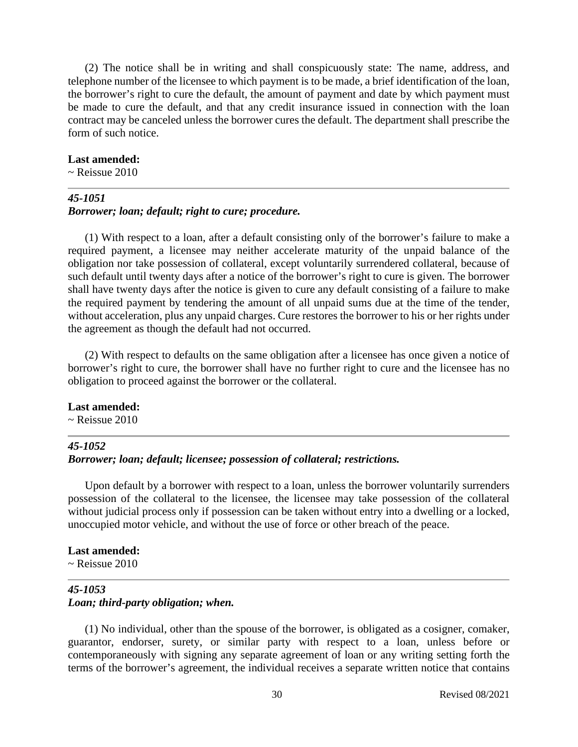(2) The notice shall be in writing and shall conspicuously state: The name, address, and telephone number of the licensee to which payment is to be made, a brief identification of the loan, the borrower's right to cure the default, the amount of payment and date by which payment must be made to cure the default, and that any credit insurance issued in connection with the loan contract may be canceled unless the borrower cures the default. The department shall prescribe the form of such notice.

#### **Last amended:**

 $\sim$  Reissue 2010

### *45-1051 Borrower; loan; default; right to cure; procedure.*

(1) With respect to a loan, after a default consisting only of the borrower's failure to make a required payment, a licensee may neither accelerate maturity of the unpaid balance of the obligation nor take possession of collateral, except voluntarily surrendered collateral, because of such default until twenty days after a notice of the borrower's right to cure is given. The borrower shall have twenty days after the notice is given to cure any default consisting of a failure to make the required payment by tendering the amount of all unpaid sums due at the time of the tender, without acceleration, plus any unpaid charges. Cure restores the borrower to his or her rights under the agreement as though the default had not occurred.

(2) With respect to defaults on the same obligation after a licensee has once given a notice of borrower's right to cure, the borrower shall have no further right to cure and the licensee has no obligation to proceed against the borrower or the collateral.

#### **Last amended:**

~ Reissue 2010

## *45-1052*

## *Borrower; loan; default; licensee; possession of collateral; restrictions.*

Upon default by a borrower with respect to a loan, unless the borrower voluntarily surrenders possession of the collateral to the licensee, the licensee may take possession of the collateral without judicial process only if possession can be taken without entry into a dwelling or a locked, unoccupied motor vehicle, and without the use of force or other breach of the peace.

### **Last amended:**

 $\sim$  Reissue 2010

### *45-1053 Loan; third-party obligation; when.*

(1) No individual, other than the spouse of the borrower, is obligated as a cosigner, comaker, guarantor, endorser, surety, or similar party with respect to a loan, unless before or contemporaneously with signing any separate agreement of loan or any writing setting forth the terms of the borrower's agreement, the individual receives a separate written notice that contains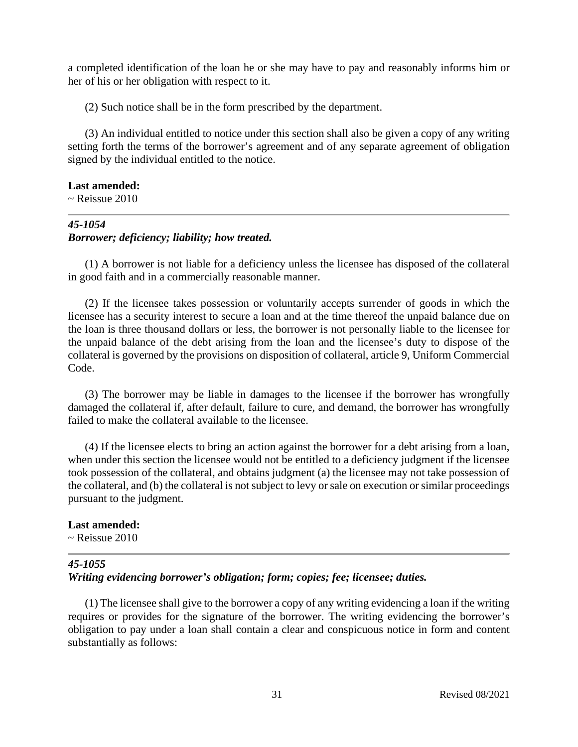a completed identification of the loan he or she may have to pay and reasonably informs him or her of his or her obligation with respect to it.

(2) Such notice shall be in the form prescribed by the department.

(3) An individual entitled to notice under this section shall also be given a copy of any writing setting forth the terms of the borrower's agreement and of any separate agreement of obligation signed by the individual entitled to the notice.

## **Last amended:**

 $\sim$  Reissue 2010

## *45-1054 Borrower; deficiency; liability; how treated.*

(1) A borrower is not liable for a deficiency unless the licensee has disposed of the collateral in good faith and in a commercially reasonable manner.

(2) If the licensee takes possession or voluntarily accepts surrender of goods in which the licensee has a security interest to secure a loan and at the time thereof the unpaid balance due on the loan is three thousand dollars or less, the borrower is not personally liable to the licensee for the unpaid balance of the debt arising from the loan and the licensee's duty to dispose of the collateral is governed by the provisions on disposition of collateral, article 9, Uniform Commercial Code.

(3) The borrower may be liable in damages to the licensee if the borrower has wrongfully damaged the collateral if, after default, failure to cure, and demand, the borrower has wrongfully failed to make the collateral available to the licensee.

(4) If the licensee elects to bring an action against the borrower for a debt arising from a loan, when under this section the licensee would not be entitled to a deficiency judgment if the licensee took possession of the collateral, and obtains judgment (a) the licensee may not take possession of the collateral, and (b) the collateral is not subject to levy or sale on execution or similar proceedings pursuant to the judgment.

### **Last amended:**

 $\sim$  Reissue 2010

# *45-1055*

*Writing evidencing borrower's obligation; form; copies; fee; licensee; duties.*

(1) The licensee shall give to the borrower a copy of any writing evidencing a loan if the writing requires or provides for the signature of the borrower. The writing evidencing the borrower's obligation to pay under a loan shall contain a clear and conspicuous notice in form and content substantially as follows: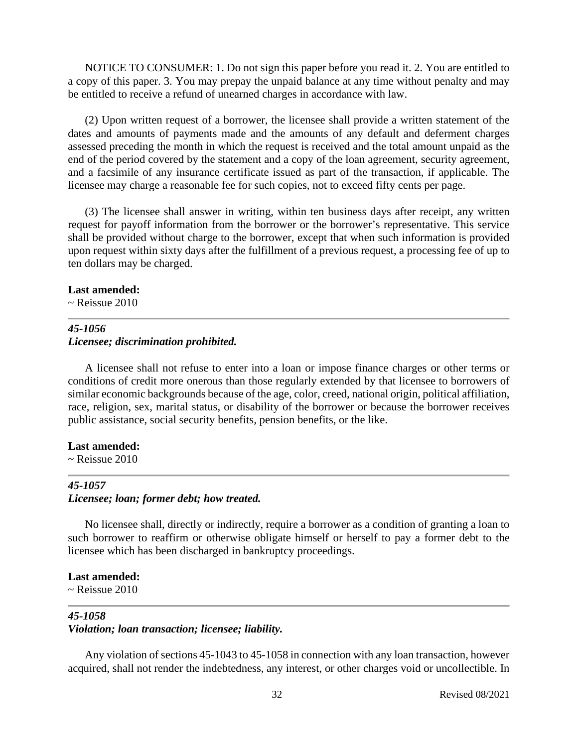NOTICE TO CONSUMER: 1. Do not sign this paper before you read it. 2. You are entitled to a copy of this paper. 3. You may prepay the unpaid balance at any time without penalty and may be entitled to receive a refund of unearned charges in accordance with law.

(2) Upon written request of a borrower, the licensee shall provide a written statement of the dates and amounts of payments made and the amounts of any default and deferment charges assessed preceding the month in which the request is received and the total amount unpaid as the end of the period covered by the statement and a copy of the loan agreement, security agreement, and a facsimile of any insurance certificate issued as part of the transaction, if applicable. The licensee may charge a reasonable fee for such copies, not to exceed fifty cents per page.

(3) The licensee shall answer in writing, within ten business days after receipt, any written request for payoff information from the borrower or the borrower's representative. This service shall be provided without charge to the borrower, except that when such information is provided upon request within sixty days after the fulfillment of a previous request, a processing fee of up to ten dollars may be charged.

### **Last amended:**

 $\sim$  Reissue 2010

# *45-1056 Licensee; discrimination prohibited.*

A licensee shall not refuse to enter into a loan or impose finance charges or other terms or conditions of credit more onerous than those regularly extended by that licensee to borrowers of similar economic backgrounds because of the age, color, creed, national origin, political affiliation, race, religion, sex, marital status, or disability of the borrower or because the borrower receives public assistance, social security benefits, pension benefits, or the like.

# **Last amended:**

 $\sim$  Reissue 2010

# *45-1057 Licensee; loan; former debt; how treated.*

No licensee shall, directly or indirectly, require a borrower as a condition of granting a loan to such borrower to reaffirm or otherwise obligate himself or herself to pay a former debt to the licensee which has been discharged in bankruptcy proceedings.

### **Last amended:**

 $\sim$  Reissue 2010

# *45-1058*

# *Violation; loan transaction; licensee; liability.*

Any violation of sections 45-1043 to 45-1058 in connection with any loan transaction, however acquired, shall not render the indebtedness, any interest, or other charges void or uncollectible. In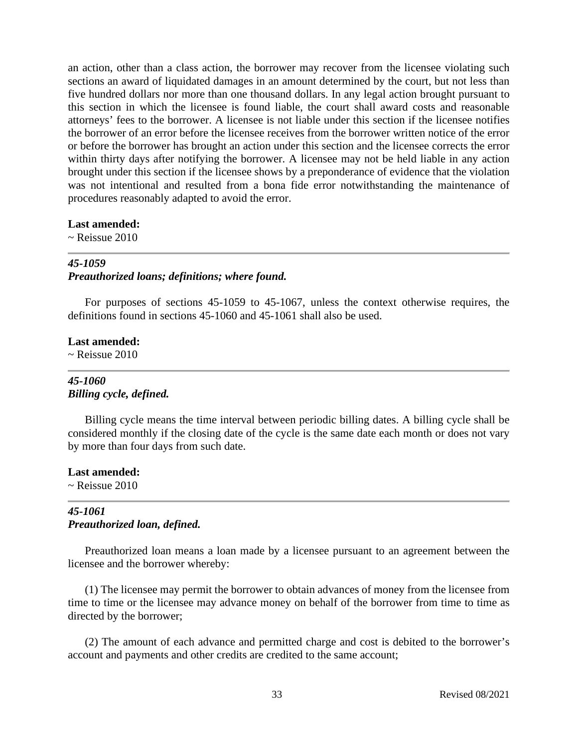an action, other than a class action, the borrower may recover from the licensee violating such sections an award of liquidated damages in an amount determined by the court, but not less than five hundred dollars nor more than one thousand dollars. In any legal action brought pursuant to this section in which the licensee is found liable, the court shall award costs and reasonable attorneys' fees to the borrower. A licensee is not liable under this section if the licensee notifies the borrower of an error before the licensee receives from the borrower written notice of the error or before the borrower has brought an action under this section and the licensee corrects the error within thirty days after notifying the borrower. A licensee may not be held liable in any action brought under this section if the licensee shows by a preponderance of evidence that the violation was not intentional and resulted from a bona fide error notwithstanding the maintenance of procedures reasonably adapted to avoid the error.

#### **Last amended:**

 $\sim$  Reissue 2010

#### *45-1059*

#### *Preauthorized loans; definitions; where found.*

For purposes of sections 45-1059 to 45-1067, unless the context otherwise requires, the definitions found in sections 45-1060 and 45-1061 shall also be used.

#### **Last amended:**

 $\sim$  Reissue 2010

### *45-1060 Billing cycle, defined.*

Billing cycle means the time interval between periodic billing dates. A billing cycle shall be considered monthly if the closing date of the cycle is the same date each month or does not vary by more than four days from such date.

# **Last amended:**

 $\sim$  Reissue 2010

## *45-1061 Preauthorized loan, defined.*

Preauthorized loan means a loan made by a licensee pursuant to an agreement between the licensee and the borrower whereby:

(1) The licensee may permit the borrower to obtain advances of money from the licensee from time to time or the licensee may advance money on behalf of the borrower from time to time as directed by the borrower;

(2) The amount of each advance and permitted charge and cost is debited to the borrower's account and payments and other credits are credited to the same account;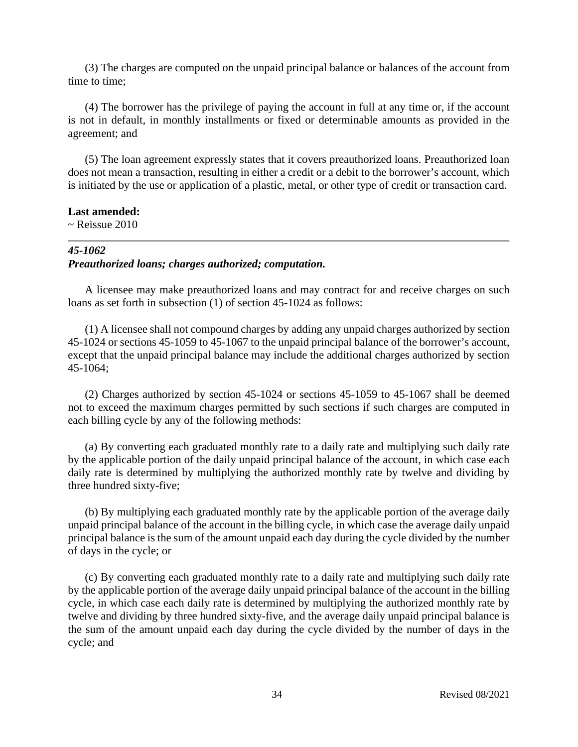(3) The charges are computed on the unpaid principal balance or balances of the account from time to time;

(4) The borrower has the privilege of paying the account in full at any time or, if the account is not in default, in monthly installments or fixed or determinable amounts as provided in the agreement; and

(5) The loan agreement expressly states that it covers preauthorized loans. Preauthorized loan does not mean a transaction, resulting in either a credit or a debit to the borrower's account, which is initiated by the use or application of a plastic, metal, or other type of credit or transaction card.

#### **Last amended:**

 $\sim$  Reissue 2010

# *45-1062 Preauthorized loans; charges authorized; computation.*

A licensee may make preauthorized loans and may contract for and receive charges on such loans as set forth in subsection (1) of section 45-1024 as follows:

(1) A licensee shall not compound charges by adding any unpaid charges authorized by section 45-1024 or sections 45-1059 to 45-1067 to the unpaid principal balance of the borrower's account, except that the unpaid principal balance may include the additional charges authorized by section 45-1064;

(2) Charges authorized by section 45-1024 or sections 45-1059 to 45-1067 shall be deemed not to exceed the maximum charges permitted by such sections if such charges are computed in each billing cycle by any of the following methods:

(a) By converting each graduated monthly rate to a daily rate and multiplying such daily rate by the applicable portion of the daily unpaid principal balance of the account, in which case each daily rate is determined by multiplying the authorized monthly rate by twelve and dividing by three hundred sixty-five;

(b) By multiplying each graduated monthly rate by the applicable portion of the average daily unpaid principal balance of the account in the billing cycle, in which case the average daily unpaid principal balance is the sum of the amount unpaid each day during the cycle divided by the number of days in the cycle; or

(c) By converting each graduated monthly rate to a daily rate and multiplying such daily rate by the applicable portion of the average daily unpaid principal balance of the account in the billing cycle, in which case each daily rate is determined by multiplying the authorized monthly rate by twelve and dividing by three hundred sixty-five, and the average daily unpaid principal balance is the sum of the amount unpaid each day during the cycle divided by the number of days in the cycle; and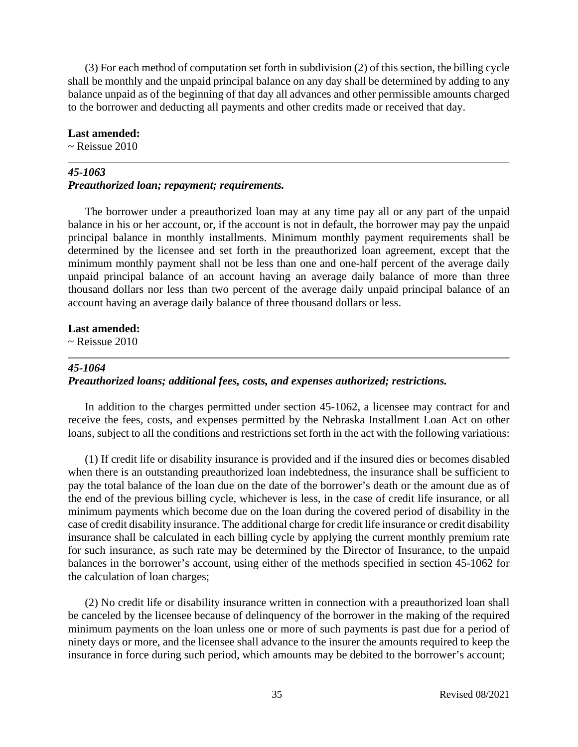(3) For each method of computation set forth in subdivision (2) of this section, the billing cycle shall be monthly and the unpaid principal balance on any day shall be determined by adding to any balance unpaid as of the beginning of that day all advances and other permissible amounts charged to the borrower and deducting all payments and other credits made or received that day.

#### **Last amended:**

 $\sim$  Reissue 2010

## *45-1063*

## *Preauthorized loan; repayment; requirements.*

The borrower under a preauthorized loan may at any time pay all or any part of the unpaid balance in his or her account, or, if the account is not in default, the borrower may pay the unpaid principal balance in monthly installments. Minimum monthly payment requirements shall be determined by the licensee and set forth in the preauthorized loan agreement, except that the minimum monthly payment shall not be less than one and one-half percent of the average daily unpaid principal balance of an account having an average daily balance of more than three thousand dollars nor less than two percent of the average daily unpaid principal balance of an account having an average daily balance of three thousand dollars or less.

### **Last amended:**

 $\sim$  Reissue 2010

## *45-1064*

# *Preauthorized loans; additional fees, costs, and expenses authorized; restrictions.*

In addition to the charges permitted under section 45-1062, a licensee may contract for and receive the fees, costs, and expenses permitted by the Nebraska Installment Loan Act on other loans, subject to all the conditions and restrictions set forth in the act with the following variations:

(1) If credit life or disability insurance is provided and if the insured dies or becomes disabled when there is an outstanding preauthorized loan indebtedness, the insurance shall be sufficient to pay the total balance of the loan due on the date of the borrower's death or the amount due as of the end of the previous billing cycle, whichever is less, in the case of credit life insurance, or all minimum payments which become due on the loan during the covered period of disability in the case of credit disability insurance. The additional charge for credit life insurance or credit disability insurance shall be calculated in each billing cycle by applying the current monthly premium rate for such insurance, as such rate may be determined by the Director of Insurance, to the unpaid balances in the borrower's account, using either of the methods specified in section 45-1062 for the calculation of loan charges;

(2) No credit life or disability insurance written in connection with a preauthorized loan shall be canceled by the licensee because of delinquency of the borrower in the making of the required minimum payments on the loan unless one or more of such payments is past due for a period of ninety days or more, and the licensee shall advance to the insurer the amounts required to keep the insurance in force during such period, which amounts may be debited to the borrower's account;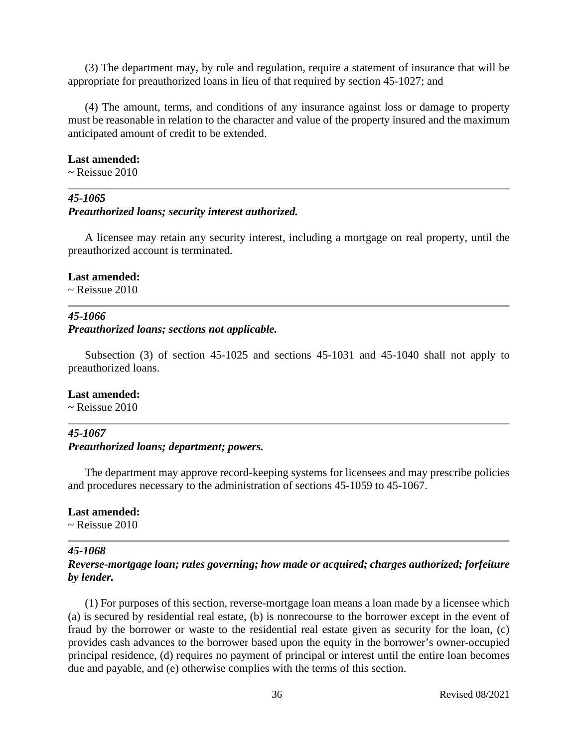(3) The department may, by rule and regulation, require a statement of insurance that will be appropriate for preauthorized loans in lieu of that required by section 45-1027; and

(4) The amount, terms, and conditions of any insurance against loss or damage to property must be reasonable in relation to the character and value of the property insured and the maximum anticipated amount of credit to be extended.

#### **Last amended:**

 $\sim$  Reissue 2010

### *45-1065*

*Preauthorized loans; security interest authorized.*

A licensee may retain any security interest, including a mortgage on real property, until the preauthorized account is terminated.

#### **Last amended:**

 $\sim$  Reissue 2010

### *45-1066*

*Preauthorized loans; sections not applicable.*

Subsection (3) of section 45-1025 and sections 45-1031 and 45-1040 shall not apply to preauthorized loans.

# **Last amended:**

 $\sim$  Reissue 2010

# *45-1067 Preauthorized loans; department; powers.*

The department may approve record-keeping systems for licensees and may prescribe policies and procedures necessary to the administration of sections 45-1059 to 45-1067.

### **Last amended:**

 $\sim$  Reissue 2010

### *45-1068*

## *Reverse-mortgage loan; rules governing; how made or acquired; charges authorized; forfeiture by lender.*

(1) For purposes of this section, reverse-mortgage loan means a loan made by a licensee which (a) is secured by residential real estate, (b) is nonrecourse to the borrower except in the event of fraud by the borrower or waste to the residential real estate given as security for the loan, (c) provides cash advances to the borrower based upon the equity in the borrower's owner-occupied principal residence, (d) requires no payment of principal or interest until the entire loan becomes due and payable, and (e) otherwise complies with the terms of this section.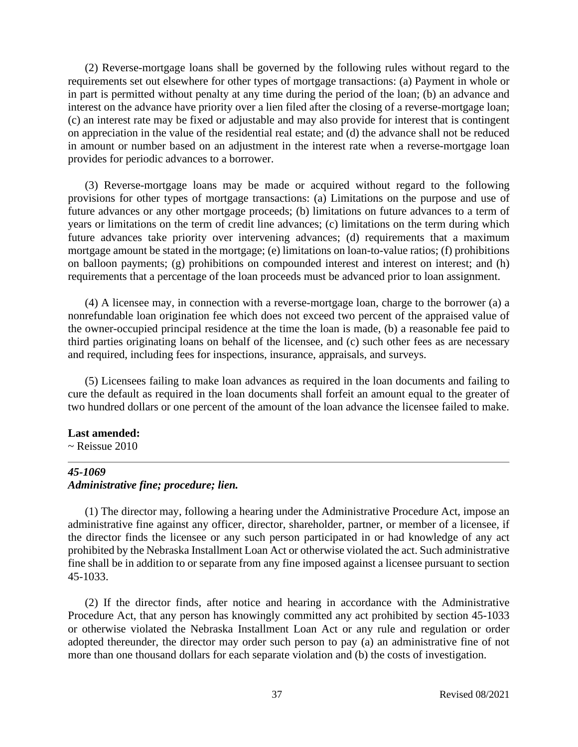(2) Reverse-mortgage loans shall be governed by the following rules without regard to the requirements set out elsewhere for other types of mortgage transactions: (a) Payment in whole or in part is permitted without penalty at any time during the period of the loan; (b) an advance and interest on the advance have priority over a lien filed after the closing of a reverse-mortgage loan; (c) an interest rate may be fixed or adjustable and may also provide for interest that is contingent on appreciation in the value of the residential real estate; and (d) the advance shall not be reduced in amount or number based on an adjustment in the interest rate when a reverse-mortgage loan provides for periodic advances to a borrower.

(3) Reverse-mortgage loans may be made or acquired without regard to the following provisions for other types of mortgage transactions: (a) Limitations on the purpose and use of future advances or any other mortgage proceeds; (b) limitations on future advances to a term of years or limitations on the term of credit line advances; (c) limitations on the term during which future advances take priority over intervening advances; (d) requirements that a maximum mortgage amount be stated in the mortgage; (e) limitations on loan-to-value ratios; (f) prohibitions on balloon payments; (g) prohibitions on compounded interest and interest on interest; and (h) requirements that a percentage of the loan proceeds must be advanced prior to loan assignment.

(4) A licensee may, in connection with a reverse-mortgage loan, charge to the borrower (a) a nonrefundable loan origination fee which does not exceed two percent of the appraised value of the owner-occupied principal residence at the time the loan is made, (b) a reasonable fee paid to third parties originating loans on behalf of the licensee, and (c) such other fees as are necessary and required, including fees for inspections, insurance, appraisals, and surveys.

(5) Licensees failing to make loan advances as required in the loan documents and failing to cure the default as required in the loan documents shall forfeit an amount equal to the greater of two hundred dollars or one percent of the amount of the loan advance the licensee failed to make.

#### **Last amended:**

 $\sim$  Reissue 2010

### *45-1069 Administrative fine; procedure; lien.*

(1) The director may, following a hearing under the Administrative Procedure Act, impose an administrative fine against any officer, director, shareholder, partner, or member of a licensee, if the director finds the licensee or any such person participated in or had knowledge of any act prohibited by the Nebraska Installment Loan Act or otherwise violated the act. Such administrative fine shall be in addition to or separate from any fine imposed against a licensee pursuant to section 45-1033.

(2) If the director finds, after notice and hearing in accordance with the Administrative Procedure Act, that any person has knowingly committed any act prohibited by section 45-1033 or otherwise violated the Nebraska Installment Loan Act or any rule and regulation or order adopted thereunder, the director may order such person to pay (a) an administrative fine of not more than one thousand dollars for each separate violation and (b) the costs of investigation.